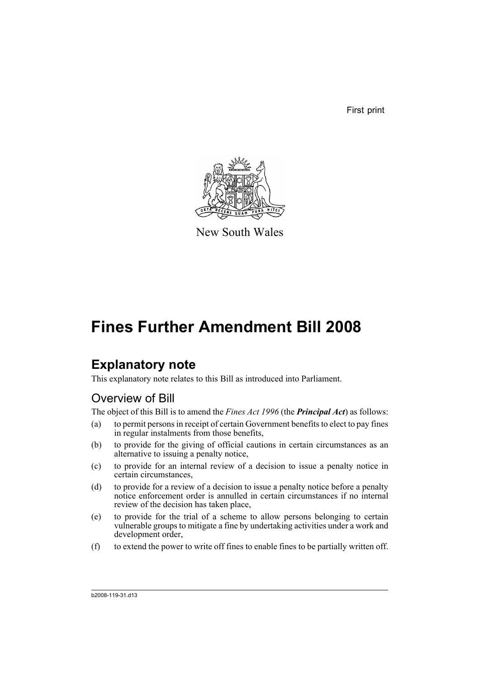First print



New South Wales

# **Fines Further Amendment Bill 2008**

# **Explanatory note**

This explanatory note relates to this Bill as introduced into Parliament.

# Overview of Bill

The object of this Bill is to amend the *Fines Act 1996* (the *Principal Act*) as follows:

- (a) to permit persons in receipt of certain Government benefits to elect to pay fines in regular instalments from those benefits,
- (b) to provide for the giving of official cautions in certain circumstances as an alternative to issuing a penalty notice,
- (c) to provide for an internal review of a decision to issue a penalty notice in certain circumstances,
- (d) to provide for a review of a decision to issue a penalty notice before a penalty notice enforcement order is annulled in certain circumstances if no internal review of the decision has taken place,
- (e) to provide for the trial of a scheme to allow persons belonging to certain vulnerable groups to mitigate a fine by undertaking activities under a work and development order,
- (f) to extend the power to write off fines to enable fines to be partially written off.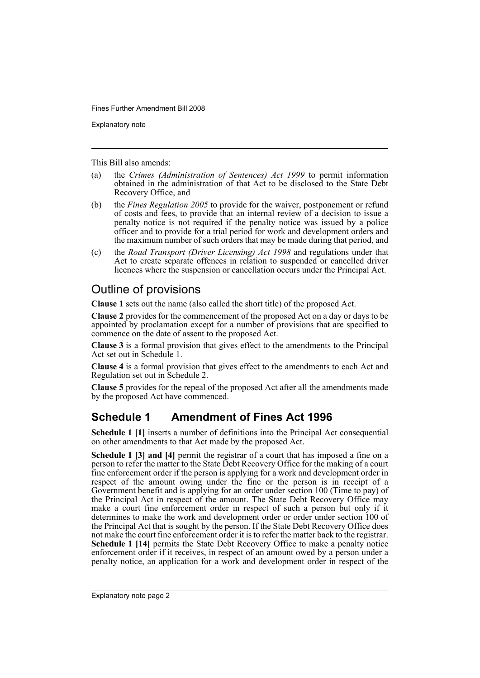Explanatory note

This Bill also amends:

- (a) the *Crimes (Administration of Sentences) Act 1999* to permit information obtained in the administration of that Act to be disclosed to the State Debt Recovery Office, and
- (b) the *Fines Regulation 2005* to provide for the waiver, postponement or refund of costs and fees, to provide that an internal review of a decision to issue a penalty notice is not required if the penalty notice was issued by a police officer and to provide for a trial period for work and development orders and the maximum number of such orders that may be made during that period, and
- (c) the *Road Transport (Driver Licensing) Act 1998* and regulations under that Act to create separate offences in relation to suspended or cancelled driver licences where the suspension or cancellation occurs under the Principal Act.

# Outline of provisions

**Clause 1** sets out the name (also called the short title) of the proposed Act.

**Clause 2** provides for the commencement of the proposed Act on a day or days to be appointed by proclamation except for a number of provisions that are specified to commence on the date of assent to the proposed Act.

**Clause 3** is a formal provision that gives effect to the amendments to the Principal Act set out in Schedule 1.

**Clause 4** is a formal provision that gives effect to the amendments to each Act and Regulation set out in Schedule 2.

**Clause 5** provides for the repeal of the proposed Act after all the amendments made by the proposed Act have commenced.

# **Schedule 1 Amendment of Fines Act 1996**

**Schedule 1 [1]** inserts a number of definitions into the Principal Act consequential on other amendments to that Act made by the proposed Act.

**Schedule 1 [3] and [4]** permit the registrar of a court that has imposed a fine on a person to refer the matter to the State Debt Recovery Office for the making of a court fine enforcement order if the person is applying for a work and development order in respect of the amount owing under the fine or the person is in receipt of a Government benefit and is applying for an order under section 100 (Time to pay) of the Principal Act in respect of the amount. The State Debt Recovery Office may make a court fine enforcement order in respect of such a person but only if it determines to make the work and development order or order under section 100 of the Principal Act that is sought by the person. If the State Debt Recovery Office does not make the court fine enforcement order it is to refer the matter back to the registrar. **Schedule 1 [14]** permits the State Debt Recovery Office to make a penalty notice enforcement order if it receives, in respect of an amount owed by a person under a penalty notice, an application for a work and development order in respect of the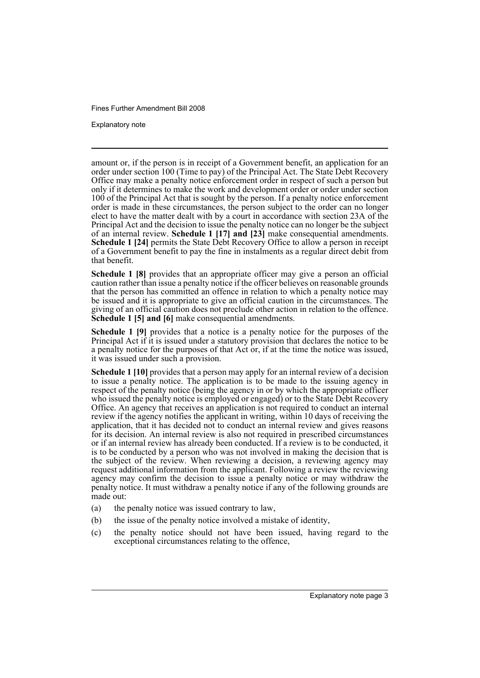Explanatory note

amount or, if the person is in receipt of a Government benefit, an application for an order under section 100 (Time to pay) of the Principal Act. The State Debt Recovery Office may make a penalty notice enforcement order in respect of such a person but only if it determines to make the work and development order or order under section 100 of the Principal Act that is sought by the person. If a penalty notice enforcement order is made in these circumstances, the person subject to the order can no longer elect to have the matter dealt with by a court in accordance with section 23A of the Principal Act and the decision to issue the penalty notice can no longer be the subject of an internal review. **Schedule 1 [17] and [23]** make consequential amendments. **Schedule 1 [24] permits the State Debt Recovery Office to allow a person in receipt** of a Government benefit to pay the fine in instalments as a regular direct debit from that benefit.

**Schedule 1 [8]** provides that an appropriate officer may give a person an official caution rather than issue a penalty notice if the officer believes on reasonable grounds that the person has committed an offence in relation to which a penalty notice may be issued and it is appropriate to give an official caution in the circumstances. The giving of an official caution does not preclude other action in relation to the offence. **Schedule 1 [5] and [6]** make consequential amendments.

**Schedule 1 [9]** provides that a notice is a penalty notice for the purposes of the Principal Act if it is issued under a statutory provision that declares the notice to be a penalty notice for the purposes of that Act or, if at the time the notice was issued, it was issued under such a provision.

**Schedule 1 [10]** provides that a person may apply for an internal review of a decision to issue a penalty notice. The application is to be made to the issuing agency in respect of the penalty notice (being the agency in or by which the appropriate officer who issued the penalty notice is employed or engaged) or to the State Debt Recovery Office. An agency that receives an application is not required to conduct an internal review if the agency notifies the applicant in writing, within 10 days of receiving the application, that it has decided not to conduct an internal review and gives reasons for its decision. An internal review is also not required in prescribed circumstances or if an internal review has already been conducted. If a review is to be conducted, it is to be conducted by a person who was not involved in making the decision that is the subject of the review. When reviewing a decision, a reviewing agency may request additional information from the applicant. Following a review the reviewing agency may confirm the decision to issue a penalty notice or may withdraw the penalty notice. It must withdraw a penalty notice if any of the following grounds are made out:

- (a) the penalty notice was issued contrary to law,
- (b) the issue of the penalty notice involved a mistake of identity,
- (c) the penalty notice should not have been issued, having regard to the exceptional circumstances relating to the offence,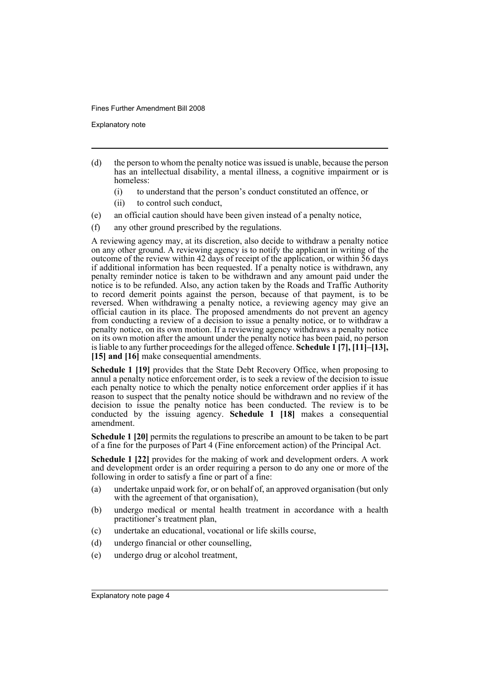Explanatory note

- (d) the person to whom the penalty notice was issued is unable, because the person has an intellectual disability, a mental illness, a cognitive impairment or is homeless:
	- (i) to understand that the person's conduct constituted an offence, or
	- (ii) to control such conduct,
- (e) an official caution should have been given instead of a penalty notice,
- (f) any other ground prescribed by the regulations.

A reviewing agency may, at its discretion, also decide to withdraw a penalty notice on any other ground. A reviewing agency is to notify the applicant in writing of the outcome of the review within 42 days of receipt of the application, or within 56 days if additional information has been requested. If a penalty notice is withdrawn, any penalty reminder notice is taken to be withdrawn and any amount paid under the notice is to be refunded. Also, any action taken by the Roads and Traffic Authority to record demerit points against the person, because of that payment, is to be reversed. When withdrawing a penalty notice, a reviewing agency may give an official caution in its place. The proposed amendments do not prevent an agency from conducting a review of a decision to issue a penalty notice, or to withdraw a penalty notice, on its own motion. If a reviewing agency withdraws a penalty notice on its own motion after the amount under the penalty notice has been paid, no person is liable to any further proceedings for the alleged offence. **Schedule 1 [7], [11]–[13],** [15] and [16] make consequential amendments.

**Schedule 1 [19]** provides that the State Debt Recovery Office, when proposing to annul a penalty notice enforcement order, is to seek a review of the decision to issue each penalty notice to which the penalty notice enforcement order applies if it has reason to suspect that the penalty notice should be withdrawn and no review of the decision to issue the penalty notice has been conducted. The review is to be conducted by the issuing agency. **Schedule 1 [18]** makes a consequential amendment.

**Schedule 1 [20]** permits the regulations to prescribe an amount to be taken to be part of a fine for the purposes of Part 4 (Fine enforcement action) of the Principal Act.

**Schedule 1 [22]** provides for the making of work and development orders. A work and development order is an order requiring a person to do any one or more of the following in order to satisfy a fine or part of a fine:

- (a) undertake unpaid work for, or on behalf of, an approved organisation (but only with the agreement of that organisation),
- (b) undergo medical or mental health treatment in accordance with a health practitioner's treatment plan,
- (c) undertake an educational, vocational or life skills course,
- (d) undergo financial or other counselling,
- (e) undergo drug or alcohol treatment,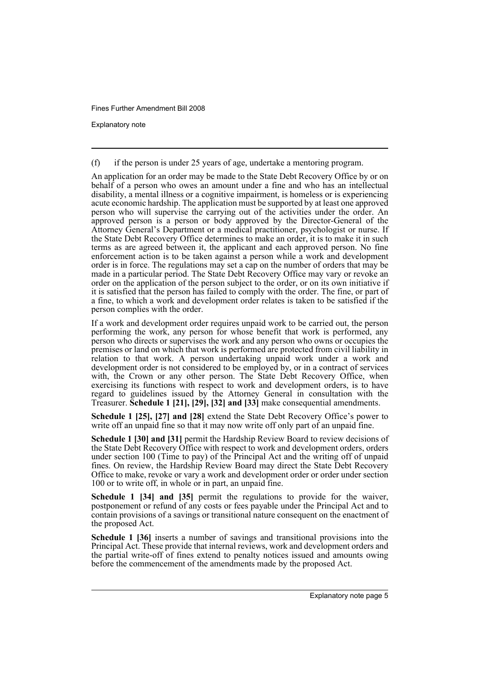Explanatory note

(f) if the person is under 25 years of age, undertake a mentoring program.

An application for an order may be made to the State Debt Recovery Office by or on behalf of a person who owes an amount under a fine and who has an intellectual disability, a mental illness or a cognitive impairment, is homeless or is experiencing acute economic hardship. The application must be supported by at least one approved person who will supervise the carrying out of the activities under the order. An approved person is a person or body approved by the Director-General of the Attorney General's Department or a medical practitioner, psychologist or nurse. If the State Debt Recovery Office determines to make an order, it is to make it in such terms as are agreed between it, the applicant and each approved person. No fine enforcement action is to be taken against a person while a work and development order is in force. The regulations may set a cap on the number of orders that may be made in a particular period. The State Debt Recovery Office may vary or revoke an order on the application of the person subject to the order, or on its own initiative if it is satisfied that the person has failed to comply with the order. The fine, or part of a fine, to which a work and development order relates is taken to be satisfied if the person complies with the order.

If a work and development order requires unpaid work to be carried out, the person performing the work, any person for whose benefit that work is performed, any person who directs or supervises the work and any person who owns or occupies the premises or land on which that work is performed are protected from civil liability in relation to that work. A person undertaking unpaid work under a work and development order is not considered to be employed by, or in a contract of services with, the Crown or any other person. The State Debt Recovery Office, when exercising its functions with respect to work and development orders, is to have regard to guidelines issued by the Attorney General in consultation with the Treasurer. **Schedule 1 [21], [29], [32] and [33]** make consequential amendments.

**Schedule 1 [25], [27] and [28]** extend the State Debt Recovery Office's power to write off an unpaid fine so that it may now write off only part of an unpaid fine.

**Schedule 1 [30] and [31]** permit the Hardship Review Board to review decisions of the State Debt Recovery Office with respect to work and development orders, orders under section 100 (Time to pay) of the Principal Act and the writing off of unpaid fines. On review, the Hardship Review Board may direct the State Debt Recovery Office to make, revoke or vary a work and development order or order under section 100 or to write off, in whole or in part, an unpaid fine.

**Schedule 1 [34] and [35]** permit the regulations to provide for the waiver, postponement or refund of any costs or fees payable under the Principal Act and to contain provisions of a savings or transitional nature consequent on the enactment of the proposed Act.

**Schedule 1 [36]** inserts a number of savings and transitional provisions into the Principal Act. These provide that internal reviews, work and development orders and the partial write-off of fines extend to penalty notices issued and amounts owing before the commencement of the amendments made by the proposed Act.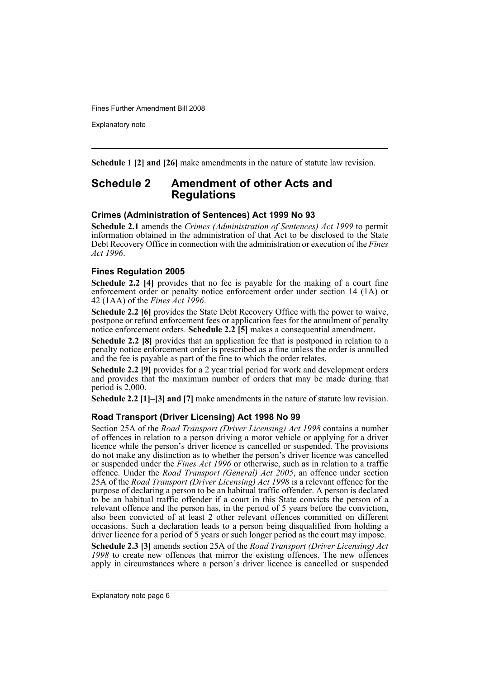Explanatory note

**Schedule 1 [2] and [26]** make amendments in the nature of statute law revision.

# **Schedule 2 Amendment of other Acts and Regulations**

## **Crimes (Administration of Sentences) Act 1999 No 93**

**Schedule 2.1** amends the *Crimes (Administration of Sentences) Act 1999* to permit information obtained in the administration of that Act to be disclosed to the State Debt Recovery Office in connection with the administration or execution of the *Fines Act 1996*.

# **Fines Regulation 2005**

**Schedule 2.2** [4] provides that no fee is payable for the making of a court fine enforcement order or penalty notice enforcement order under section 14 (1A) or 42 (1AA) of the *Fines Act 1996*.

**Schedule 2.2 [6]** provides the State Debt Recovery Office with the power to waive, postpone or refund enforcement fees or application fees for the annulment of penalty notice enforcement orders. **Schedule 2.2 [5]** makes a consequential amendment.

**Schedule 2.2 [8]** provides that an application fee that is postponed in relation to a penalty notice enforcement order is prescribed as a fine unless the order is annulled and the fee is payable as part of the fine to which the order relates.

**Schedule 2.2 [9]** provides for a 2 year trial period for work and development orders and provides that the maximum number of orders that may be made during that period is 2,000.

**Schedule 2.2 [1]–[3] and [7]** make amendments in the nature of statute law revision.

# **Road Transport (Driver Licensing) Act 1998 No 99**

Section 25A of the *Road Transport (Driver Licensing) Act 1998* contains a number of offences in relation to a person driving a motor vehicle or applying for a driver licence while the person's driver licence is cancelled or suspended. The provisions do not make any distinction as to whether the person's driver licence was cancelled or suspended under the *Fines Act 1996* or otherwise, such as in relation to a traffic offence. Under the *Road Transport (General) Act 2005*, an offence under section 25A of the *Road Transport (Driver Licensing) Act 1998* is a relevant offence for the purpose of declaring a person to be an habitual traffic offender. A person is declared to be an habitual traffic offender if a court in this State convicts the person of a relevant offence and the person has, in the period of 5 years before the conviction, also been convicted of at least 2 other relevant offences committed on different occasions. Such a declaration leads to a person being disqualified from holding a driver licence for a period of 5 years or such longer period as the court may impose.

**Schedule 2.3 [3]** amends section 25A of the *Road Transport (Driver Licensing) Act 1998* to create new offences that mirror the existing offences. The new offences apply in circumstances where a person's driver licence is cancelled or suspended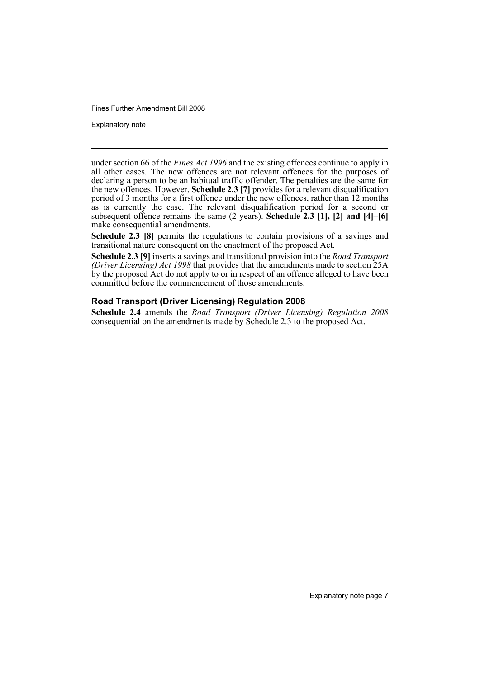Explanatory note

under section 66 of the *Fines Act 1996* and the existing offences continue to apply in all other cases. The new offences are not relevant offences for the purposes of declaring a person to be an habitual traffic offender. The penalties are the same for the new offences. However, **Schedule 2.3 [7]** provides for a relevant disqualification period of 3 months for a first offence under the new offences, rather than 12 months as is currently the case. The relevant disqualification period for a second or subsequent offence remains the same (2 years). **Schedule 2.3 [1], [2] and [4]–[6]** make consequential amendments.

**Schedule 2.3 [8]** permits the regulations to contain provisions of a savings and transitional nature consequent on the enactment of the proposed Act.

**Schedule 2.3 [9]** inserts a savings and transitional provision into the *Road Transport (Driver Licensing) Act 1998* that provides that the amendments made to section 25A by the proposed Act do not apply to or in respect of an offence alleged to have been committed before the commencement of those amendments.

## **Road Transport (Driver Licensing) Regulation 2008**

**Schedule 2.4** amends the *Road Transport (Driver Licensing) Regulation 2008* consequential on the amendments made by Schedule 2.3 to the proposed Act.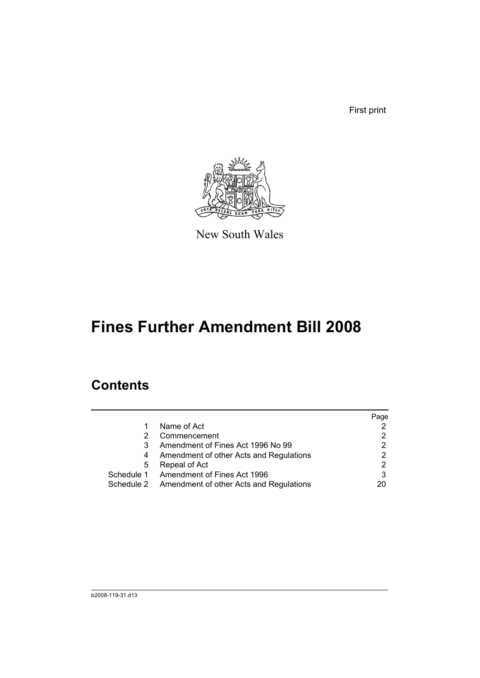First print



New South Wales

# **Fines Further Amendment Bill 2008**

# **Contents**

|   |                                                    | Page |
|---|----------------------------------------------------|------|
|   | Name of Act                                        |      |
|   | Commencement                                       |      |
|   | Amendment of Fines Act 1996 No 99                  |      |
| 4 | Amendment of other Acts and Regulations            |      |
| 5 | Repeal of Act                                      |      |
|   | Schedule 1 Amendment of Fines Act 1996             |      |
|   | Schedule 2 Amendment of other Acts and Regulations | 20   |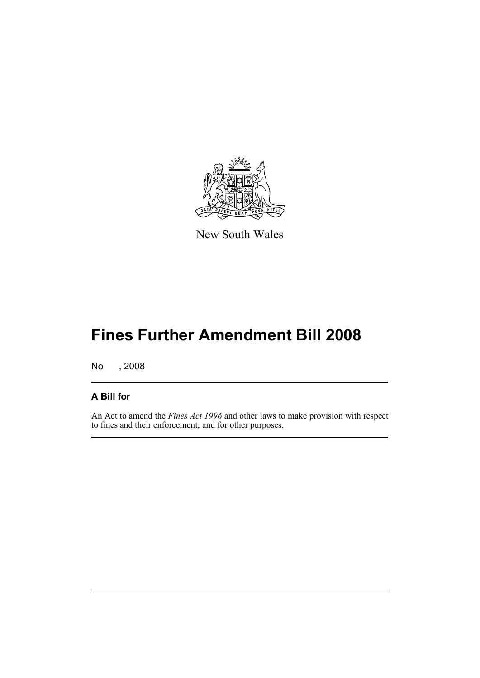

New South Wales

# **Fines Further Amendment Bill 2008**

No , 2008

# **A Bill for**

An Act to amend the *Fines Act 1996* and other laws to make provision with respect to fines and their enforcement; and for other purposes.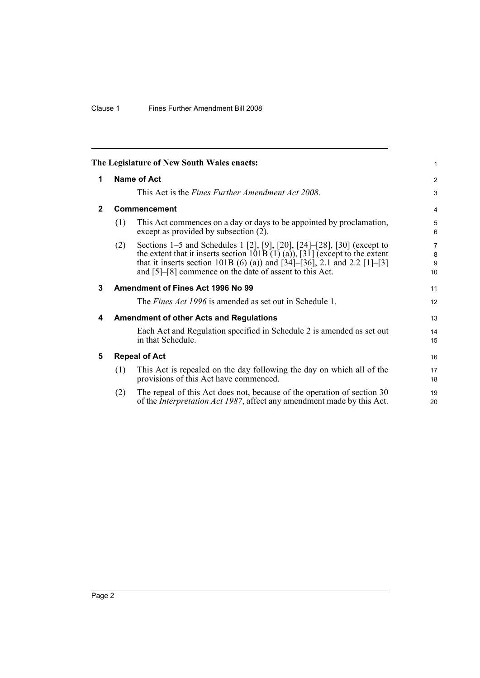<span id="page-11-4"></span><span id="page-11-3"></span><span id="page-11-2"></span><span id="page-11-1"></span><span id="page-11-0"></span>

|              |     | The Legislature of New South Wales enacts:                                                                                                                                                                                                                                                                                          | 1                 |
|--------------|-----|-------------------------------------------------------------------------------------------------------------------------------------------------------------------------------------------------------------------------------------------------------------------------------------------------------------------------------------|-------------------|
| 1            |     | Name of Act                                                                                                                                                                                                                                                                                                                         | $\overline{2}$    |
|              |     | This Act is the <i>Fines Further Amendment Act 2008</i> .                                                                                                                                                                                                                                                                           | 3                 |
| $\mathbf{2}$ |     | Commencement                                                                                                                                                                                                                                                                                                                        | 4                 |
|              | (1) | This Act commences on a day or days to be appointed by proclamation,<br>except as provided by subsection (2).                                                                                                                                                                                                                       | 5<br>6            |
|              | (2) | Sections 1–5 and Schedules 1 [2], [9], [20], [24]–[28], [30] (except to<br>the extent that it inserts section $101\overline{B(1)}(a)$ , $\overline{31}$ (except to the extent<br>that it inserts section 101B (6) (a)) and $[34]$ – $[36]$ , 2.1 and 2.2 $[1]$ – $[3]$<br>and $[5]-[8]$ commence on the date of assent to this Act. | 7<br>8<br>9<br>10 |
| 3            |     | Amendment of Fines Act 1996 No 99                                                                                                                                                                                                                                                                                                   | 11                |
|              |     | The <i>Fines Act 1996</i> is amended as set out in Schedule 1.                                                                                                                                                                                                                                                                      | 12                |
| 4            |     | <b>Amendment of other Acts and Regulations</b>                                                                                                                                                                                                                                                                                      | 13                |
|              |     | Each Act and Regulation specified in Schedule 2 is amended as set out<br>in that Schedule.                                                                                                                                                                                                                                          | 14<br>15          |
| 5            |     | <b>Repeal of Act</b>                                                                                                                                                                                                                                                                                                                | 16                |
|              | (1) | This Act is repealed on the day following the day on which all of the<br>provisions of this Act have commenced.                                                                                                                                                                                                                     | 17<br>18          |
|              | (2) | The repeal of this Act does not, because of the operation of section 30<br>of the <i>Interpretation Act 1987</i> , affect any amendment made by this Act.                                                                                                                                                                           | 19<br>20          |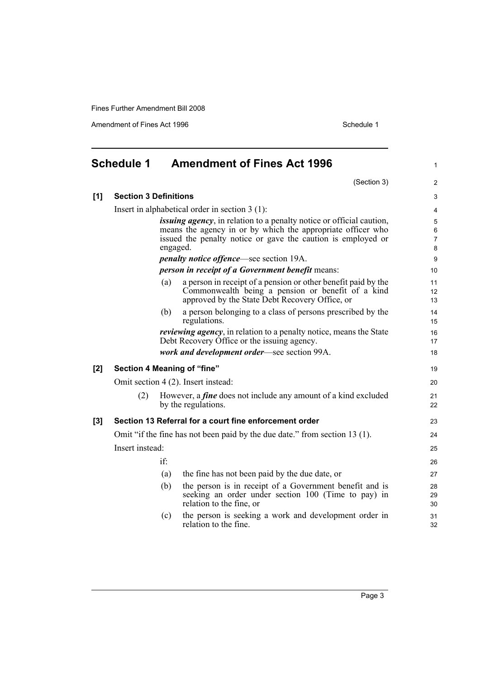Amendment of Fines Act 1996 Schedule 1

<span id="page-12-0"></span>

| <b>Schedule 1</b> |                              | <b>Amendment of Fines Act 1996</b> |                                                                                                                                                                                                             |                                         |
|-------------------|------------------------------|------------------------------------|-------------------------------------------------------------------------------------------------------------------------------------------------------------------------------------------------------------|-----------------------------------------|
|                   |                              |                                    | (Section 3)                                                                                                                                                                                                 | $\overline{2}$                          |
| [1]               | <b>Section 3 Definitions</b> |                                    |                                                                                                                                                                                                             | 3                                       |
|                   |                              |                                    | Insert in alphabetical order in section $3(1)$ :                                                                                                                                                            | 4                                       |
|                   |                              | engaged.                           | <i>issuing agency</i> , in relation to a penalty notice or official caution,<br>means the agency in or by which the appropriate officer who<br>issued the penalty notice or gave the caution is employed or | $\,$ 5 $\,$<br>6<br>$\overline{7}$<br>8 |
|                   |                              |                                    | <i>penalty notice offence—see section 19A.</i>                                                                                                                                                              | 9                                       |
|                   |                              |                                    | <i>person in receipt of a Government benefit means:</i>                                                                                                                                                     | 10 <sup>1</sup>                         |
|                   |                              | (a)                                | a person in receipt of a pension or other benefit paid by the<br>Commonwealth being a pension or benefit of a kind<br>approved by the State Debt Recovery Office, or                                        | 11<br>12 <sup>2</sup><br>13             |
|                   |                              | (b)                                | a person belonging to a class of persons prescribed by the<br>regulations.                                                                                                                                  | 14<br>15                                |
|                   |                              |                                    | <i>reviewing agency</i> , in relation to a penalty notice, means the State<br>Debt Recovery Office or the issuing agency.                                                                                   | 16<br>17                                |
|                   |                              |                                    | work and development order-see section 99A.                                                                                                                                                                 | 18                                      |
| [2]               |                              |                                    | Section 4 Meaning of "fine"                                                                                                                                                                                 | 19                                      |
|                   |                              |                                    | Omit section 4 (2). Insert instead:                                                                                                                                                                         | 20                                      |
|                   | (2)                          |                                    | However, a <i>fine</i> does not include any amount of a kind excluded<br>by the regulations.                                                                                                                | 21<br>22                                |
| [3]               |                              |                                    | Section 13 Referral for a court fine enforcement order                                                                                                                                                      | 23                                      |
|                   |                              |                                    | Omit "if the fine has not been paid by the due date." from section 13 (1).                                                                                                                                  | 24                                      |
|                   | Insert instead:              |                                    |                                                                                                                                                                                                             | 25                                      |
|                   |                              | if:                                |                                                                                                                                                                                                             | 26                                      |
|                   |                              | (a)                                | the fine has not been paid by the due date, or                                                                                                                                                              | 27                                      |
|                   |                              | (b)                                | the person is in receipt of a Government benefit and is<br>seeking an order under section 100 (Time to pay) in<br>relation to the fine, or                                                                  | 28<br>29<br>30                          |
|                   |                              | (c)                                | the person is seeking a work and development order in<br>relation to the fine.                                                                                                                              | 31<br>32                                |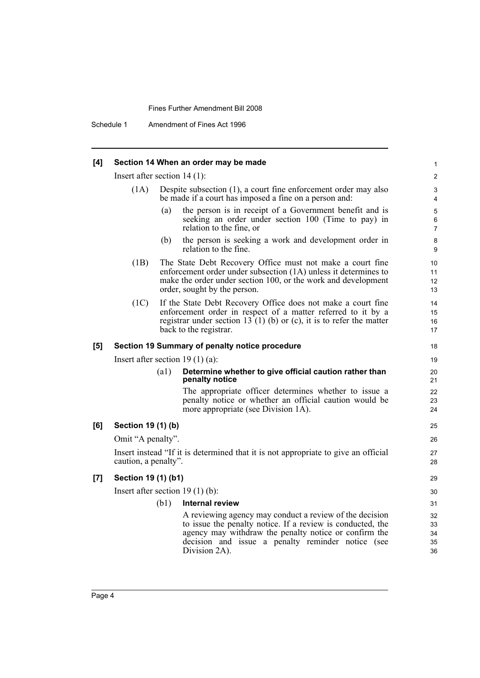Schedule 1 Amendment of Fines Act 1996

# **[4] Section 14 When an order may be made**

|     | Insert after section $14(1)$ : |      |                                                                                                                                                                                                                                                      |                                |  |
|-----|--------------------------------|------|------------------------------------------------------------------------------------------------------------------------------------------------------------------------------------------------------------------------------------------------------|--------------------------------|--|
|     | (1A)                           |      | Despite subsection $(1)$ , a court fine enforcement order may also<br>be made if a court has imposed a fine on a person and:                                                                                                                         | $\ensuremath{\mathsf{3}}$<br>4 |  |
|     |                                | (a)  | the person is in receipt of a Government benefit and is<br>seeking an order under section 100 (Time to pay) in<br>relation to the fine, or                                                                                                           | 5<br>6<br>7                    |  |
|     |                                | (b)  | the person is seeking a work and development order in<br>relation to the fine.                                                                                                                                                                       | 8<br>9                         |  |
|     | (1B)                           |      | The State Debt Recovery Office must not make a court fine<br>enforcement order under subsection (1A) unless it determines to<br>make the order under section 100, or the work and development<br>order, sought by the person.                        | 10<br>11<br>12<br>13           |  |
|     | (1C)                           |      | If the State Debt Recovery Office does not make a court fine<br>enforcement order in respect of a matter referred to it by a<br>registrar under section 13 (1) (b) or (c), it is to refer the matter<br>back to the registrar.                       | 14<br>15<br>16<br>17           |  |
| [5] |                                |      | Section 19 Summary of penalty notice procedure                                                                                                                                                                                                       | 18                             |  |
|     |                                |      | Insert after section 19 $(1)$ $(a)$ :                                                                                                                                                                                                                | 19                             |  |
|     |                                | (a1) | Determine whether to give official caution rather than<br>penalty notice                                                                                                                                                                             | 20<br>21                       |  |
|     |                                |      | The appropriate officer determines whether to issue a<br>penalty notice or whether an official caution would be<br>more appropriate (see Division 1A).                                                                                               | 22<br>23<br>24                 |  |
| [6] | Section 19 (1) (b)             |      |                                                                                                                                                                                                                                                      | 25                             |  |
|     | Omit "A penalty".              |      |                                                                                                                                                                                                                                                      | 26                             |  |
|     | caution, a penalty".           |      | Insert instead "If it is determined that it is not appropriate to give an official                                                                                                                                                                   | 27<br>28                       |  |
| [7] | Section 19 (1) (b1)            |      |                                                                                                                                                                                                                                                      | 29                             |  |
|     |                                |      | Insert after section $19(1)(b)$ :                                                                                                                                                                                                                    | 30                             |  |
|     |                                | (b1) | <b>Internal review</b>                                                                                                                                                                                                                               | 31                             |  |
|     |                                |      | A reviewing agency may conduct a review of the decision<br>to issue the penalty notice. If a review is conducted, the<br>agency may withdraw the penalty notice or confirm the<br>decision and issue a penalty reminder notice (see<br>Division 2A). | 32<br>33<br>34<br>35<br>36     |  |

1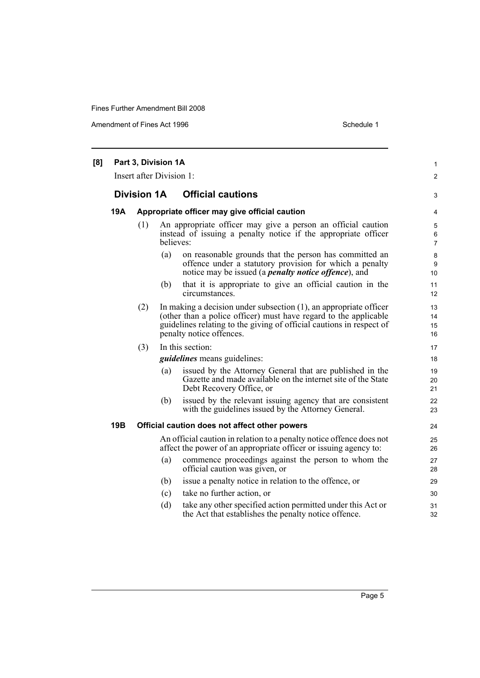Amendment of Fines Act 1996 Schedule 1

| [8] |     |                    | Part 3, Division 1A<br>Insert after Division 1: |                                                                                                                                                                                                                                              | $\mathbf{1}$<br>2        |
|-----|-----|--------------------|-------------------------------------------------|----------------------------------------------------------------------------------------------------------------------------------------------------------------------------------------------------------------------------------------------|--------------------------|
|     |     | <b>Division 1A</b> |                                                 | <b>Official cautions</b>                                                                                                                                                                                                                     | 3                        |
|     | 19A |                    |                                                 | Appropriate officer may give official caution                                                                                                                                                                                                | 4                        |
|     |     | (1)                | believes:                                       | An appropriate officer may give a person an official caution<br>instead of issuing a penalty notice if the appropriate officer                                                                                                               | 5<br>6<br>$\overline{7}$ |
|     |     |                    | (a)                                             | on reasonable grounds that the person has committed an<br>offence under a statutory provision for which a penalty<br>notice may be issued (a <i>penalty notice offence</i> ), and                                                            | 8<br>9<br>10             |
|     |     |                    | (b)                                             | that it is appropriate to give an official caution in the<br>circumstances.                                                                                                                                                                  | 11<br>12                 |
|     |     | (2)                |                                                 | In making a decision under subsection $(1)$ , an appropriate officer<br>(other than a police officer) must have regard to the applicable<br>guidelines relating to the giving of official cautions in respect of<br>penalty notice offences. | 13<br>14<br>15<br>16     |
|     |     | (3)                |                                                 | In this section:                                                                                                                                                                                                                             | 17                       |
|     |     |                    |                                                 | <i>guidelines</i> means guidelines:                                                                                                                                                                                                          | 18                       |
|     |     |                    | (a)                                             | issued by the Attorney General that are published in the<br>Gazette and made available on the internet site of the State<br>Debt Recovery Office, or                                                                                         | 19<br>20<br>21           |
|     |     |                    | (b)                                             | issued by the relevant issuing agency that are consistent<br>with the guidelines issued by the Attorney General.                                                                                                                             | 22<br>23                 |
|     | 19B |                    |                                                 | Official caution does not affect other powers                                                                                                                                                                                                | 24                       |
|     |     |                    |                                                 | An official caution in relation to a penalty notice offence does not<br>affect the power of an appropriate officer or issuing agency to:                                                                                                     | 25<br>26                 |
|     |     |                    | (a)                                             | commence proceedings against the person to whom the<br>official caution was given, or                                                                                                                                                        | 27<br>28                 |
|     |     |                    | (b)                                             | issue a penalty notice in relation to the offence, or                                                                                                                                                                                        | 29                       |
|     |     |                    | (c)                                             | take no further action, or                                                                                                                                                                                                                   | 30                       |
|     |     |                    | (d)                                             | take any other specified action permitted under this Act or<br>the Act that establishes the penalty notice offence.                                                                                                                          | 31<br>32                 |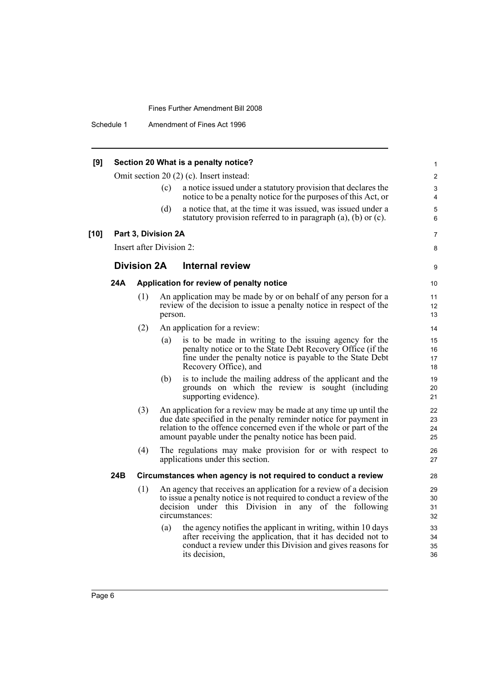Schedule 1 Amendment of Fines Act 1996

| [9]    |     |                    |                          | Section 20 What is a penalty notice?                                                                                                                                                                                                                                 | 1                    |
|--------|-----|--------------------|--------------------------|----------------------------------------------------------------------------------------------------------------------------------------------------------------------------------------------------------------------------------------------------------------------|----------------------|
|        |     |                    |                          | Omit section 20 $(2)$ $(c)$ . Insert instead:                                                                                                                                                                                                                        | $\overline{2}$       |
|        |     |                    | (c)                      | a notice issued under a statutory provision that declares the<br>notice to be a penalty notice for the purposes of this Act, or                                                                                                                                      | 3<br>$\overline{4}$  |
|        |     |                    | (d)                      | a notice that, at the time it was issued, was issued under a<br>statutory provision referred to in paragraph $(a)$ , $(b)$ or $(c)$ .                                                                                                                                | 5<br>6               |
| $[10]$ |     |                    | Part 3, Division 2A      |                                                                                                                                                                                                                                                                      | 7                    |
|        |     |                    | Insert after Division 2: |                                                                                                                                                                                                                                                                      | 8                    |
|        |     | <b>Division 2A</b> |                          | <b>Internal review</b>                                                                                                                                                                                                                                               | 9                    |
|        | 24A |                    |                          | Application for review of penalty notice                                                                                                                                                                                                                             | 10                   |
|        |     | (1)                | person.                  | An application may be made by or on behalf of any person for a<br>review of the decision to issue a penalty notice in respect of the                                                                                                                                 | 11<br>12<br>13       |
|        |     | (2)                |                          | An application for a review:                                                                                                                                                                                                                                         | 14                   |
|        |     |                    | (a)                      | is to be made in writing to the issuing agency for the<br>penalty notice or to the State Debt Recovery Office (if the<br>fine under the penalty notice is payable to the State Debt<br>Recovery Office), and                                                         | 15<br>16<br>17<br>18 |
|        |     |                    | (b)                      | is to include the mailing address of the applicant and the<br>grounds on which the review is sought (including<br>supporting evidence).                                                                                                                              | 19<br>20<br>21       |
|        |     | (3)                |                          | An application for a review may be made at any time up until the<br>due date specified in the penalty reminder notice for payment in<br>relation to the offence concerned even if the whole or part of the<br>amount payable under the penalty notice has been paid. | 22<br>23<br>24<br>25 |
|        |     | (4)                |                          | The regulations may make provision for or with respect to<br>applications under this section.                                                                                                                                                                        | 26<br>27             |
|        | 24B |                    |                          | Circumstances when agency is not required to conduct a review                                                                                                                                                                                                        | 28                   |
|        |     | (1)                |                          | An agency that receives an application for a review of a decision<br>to issue a penalty notice is not required to conduct a review of the<br>decision under this Division in any of the following<br>circumstances:                                                  | 29<br>30<br>31<br>32 |
|        |     |                    | (a)                      | the agency notifies the applicant in writing, within 10 days<br>after receiving the application, that it has decided not to<br>conduct a review under this Division and gives reasons for<br>its decision,                                                           | 33<br>34<br>35<br>36 |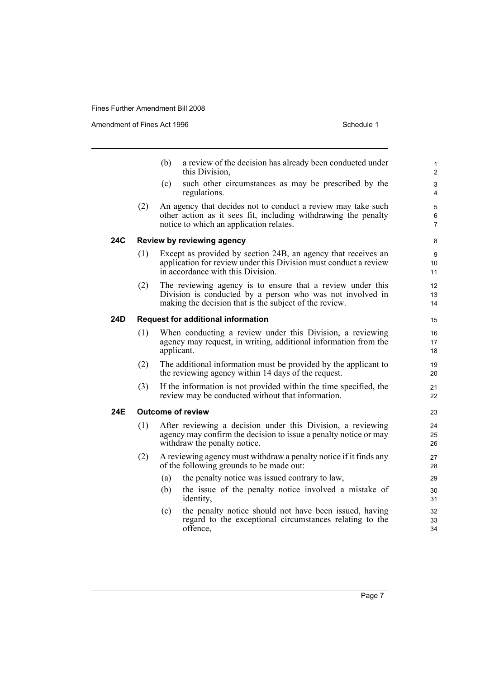Amendment of Fines Act 1996 Schedule 1

- (b) a review of the decision has already been conducted under this Division,
- (c) such other circumstances as may be prescribed by the regulations.
- (2) An agency that decides not to conduct a review may take such other action as it sees fit, including withdrawing the penalty notice to which an application relates.

### **24C Review by reviewing agency**

- (1) Except as provided by section 24B, an agency that receives an application for review under this Division must conduct a review in accordance with this Division.
- (2) The reviewing agency is to ensure that a review under this Division is conducted by a person who was not involved in making the decision that is the subject of the review.

### **24D Request for additional information**

- (1) When conducting a review under this Division, a reviewing agency may request, in writing, additional information from the applicant.
- (2) The additional information must be provided by the applicant to the reviewing agency within 14 days of the request.
- (3) If the information is not provided within the time specified, the review may be conducted without that information.

## **24E Outcome of review**

- (1) After reviewing a decision under this Division, a reviewing agency may confirm the decision to issue a penalty notice or may withdraw the penalty notice.
- (2) A reviewing agency must withdraw a penalty notice if it finds any of the following grounds to be made out:
	- (a) the penalty notice was issued contrary to law,
	- (b) the issue of the penalty notice involved a mistake of identity,
	- (c) the penalty notice should not have been issued, having regard to the exceptional circumstances relating to the offence,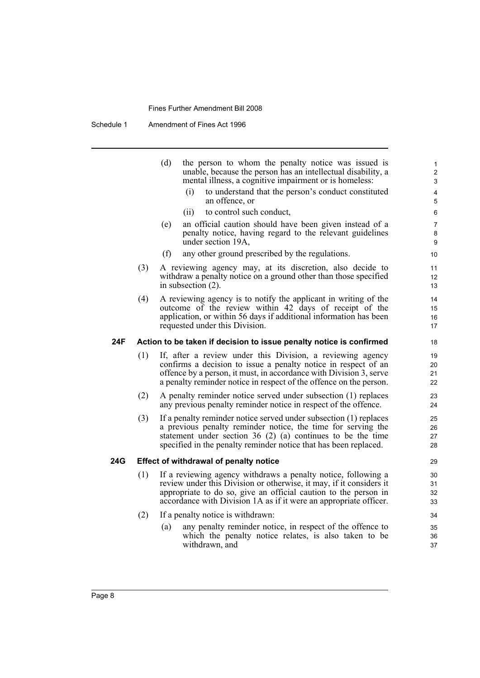Schedule 1 Amendment of Fines Act 1996

|     |     | (d)<br>the person to whom the penalty notice was issued is<br>unable, because the person has an intellectual disability, a<br>mental illness, a cognitive impairment or is homeless:<br>to understand that the person's conduct constituted<br>(i)<br>an offence, or<br>(ii)<br>to control such conduct,<br>(e)<br>an official caution should have been given instead of a<br>penalty notice, having regard to the relevant guidelines<br>under section 19A,<br>any other ground prescribed by the regulations.<br>(f) | $\mathbf{1}$<br>2<br>3<br>$\overline{4}$<br>5<br>6<br>$\overline{7}$<br>8<br>9<br>10 |
|-----|-----|------------------------------------------------------------------------------------------------------------------------------------------------------------------------------------------------------------------------------------------------------------------------------------------------------------------------------------------------------------------------------------------------------------------------------------------------------------------------------------------------------------------------|--------------------------------------------------------------------------------------|
|     | (3) | A reviewing agency may, at its discretion, also decide to<br>withdraw a penalty notice on a ground other than those specified<br>in subsection $(2)$ .                                                                                                                                                                                                                                                                                                                                                                 | 11<br>12<br>13                                                                       |
|     | (4) | A reviewing agency is to notify the applicant in writing of the<br>outcome of the review within 42 days of receipt of the<br>application, or within 56 days if additional information has been<br>requested under this Division.                                                                                                                                                                                                                                                                                       | 14<br>15<br>16<br>17                                                                 |
| 24F |     | Action to be taken if decision to issue penalty notice is confirmed                                                                                                                                                                                                                                                                                                                                                                                                                                                    | 18                                                                                   |
|     | (1) | If, after a review under this Division, a reviewing agency<br>confirms a decision to issue a penalty notice in respect of an<br>offence by a person, it must, in accordance with Division 3, serve<br>a penalty reminder notice in respect of the offence on the person.                                                                                                                                                                                                                                               | 19<br>20<br>21<br>22                                                                 |
|     | (2) | A penalty reminder notice served under subsection (1) replaces<br>any previous penalty reminder notice in respect of the offence.                                                                                                                                                                                                                                                                                                                                                                                      | 23<br>24                                                                             |
|     | (3) | If a penalty reminder notice served under subsection (1) replaces<br>a previous penalty reminder notice, the time for serving the<br>statement under section $36(2)$ (a) continues to be the time<br>specified in the penalty reminder notice that has been replaced.                                                                                                                                                                                                                                                  | 25<br>26<br>27<br>28                                                                 |
| 24G |     | Effect of withdrawal of penalty notice                                                                                                                                                                                                                                                                                                                                                                                                                                                                                 | 29                                                                                   |
|     | (1) | If a reviewing agency withdraws a penalty notice, following a<br>review under this Division or otherwise, it may, if it considers it<br>appropriate to do so, give an official caution to the person in<br>accordance with Division 1A as if it were an appropriate officer.                                                                                                                                                                                                                                           | 30<br>31<br>32<br>33                                                                 |
|     | (2) | If a penalty notice is withdrawn:                                                                                                                                                                                                                                                                                                                                                                                                                                                                                      | 34                                                                                   |
|     |     | any penalty reminder notice, in respect of the offence to<br>(a)<br>which the penalty notice relates, is also taken to be<br>withdrawn, and                                                                                                                                                                                                                                                                                                                                                                            | 35<br>36<br>37                                                                       |
|     |     |                                                                                                                                                                                                                                                                                                                                                                                                                                                                                                                        |                                                                                      |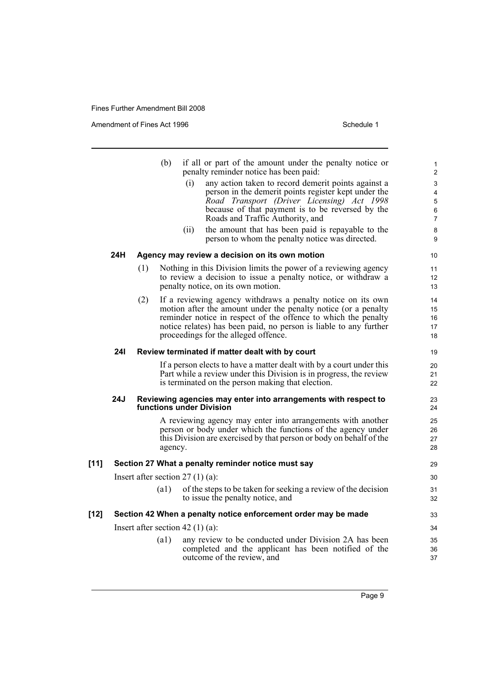Amendment of Fines Act 1996 Schedule 1

|        |     |     | (b)                | if all or part of the amount under the penalty notice or<br>penalty reminder notice has been paid:<br>any action taken to record demerit points against a<br>(i)<br>person in the demerit points register kept under the<br>Road Transport (Driver Licensing) Act 1998<br>because of that payment is to be reversed by the<br>Roads and Traffic Authority, and<br>the amount that has been paid is repayable to the<br>(i)<br>person to whom the penalty notice was directed. | 1<br>$\overline{\mathbf{c}}$<br>3<br>4<br>5<br>6<br>$\overline{7}$<br>8<br>9 |
|--------|-----|-----|--------------------|-------------------------------------------------------------------------------------------------------------------------------------------------------------------------------------------------------------------------------------------------------------------------------------------------------------------------------------------------------------------------------------------------------------------------------------------------------------------------------|------------------------------------------------------------------------------|
|        | 24H |     |                    | Agency may review a decision on its own motion                                                                                                                                                                                                                                                                                                                                                                                                                                | 10                                                                           |
|        |     | (1) |                    | Nothing in this Division limits the power of a reviewing agency<br>to review a decision to issue a penalty notice, or withdraw a<br>penalty notice, on its own motion.                                                                                                                                                                                                                                                                                                        | 11<br>12<br>13                                                               |
|        |     | (2) |                    | If a reviewing agency withdraws a penalty notice on its own<br>motion after the amount under the penalty notice (or a penalty<br>reminder notice in respect of the offence to which the penalty<br>notice relates) has been paid, no person is liable to any further<br>proceedings for the alleged offence.                                                                                                                                                                  | 14<br>15<br>16<br>17<br>18                                                   |
|        | 24I |     |                    | Review terminated if matter dealt with by court                                                                                                                                                                                                                                                                                                                                                                                                                               | 19                                                                           |
|        |     |     |                    | If a person elects to have a matter dealt with by a court under this<br>Part while a review under this Division is in progress, the review<br>is terminated on the person making that election.                                                                                                                                                                                                                                                                               | 20<br>21<br>22                                                               |
|        | 24J |     |                    | Reviewing agencies may enter into arrangements with respect to<br>functions under Division                                                                                                                                                                                                                                                                                                                                                                                    | 23<br>24                                                                     |
|        |     |     | agency.            | A reviewing agency may enter into arrangements with another<br>person or body under which the functions of the agency under<br>this Division are exercised by that person or body on behalf of the                                                                                                                                                                                                                                                                            | 25<br>26<br>27<br>28                                                         |
| $[11]$ |     |     |                    | Section 27 What a penalty reminder notice must say                                                                                                                                                                                                                                                                                                                                                                                                                            | 29                                                                           |
|        |     |     |                    | Insert after section $27(1)(a)$ :                                                                                                                                                                                                                                                                                                                                                                                                                                             | 30                                                                           |
|        |     |     | $\left( a1\right)$ | of the steps to be taken for seeking a review of the decision<br>to issue the penalty notice, and                                                                                                                                                                                                                                                                                                                                                                             | 31<br>32                                                                     |
| [12]   |     |     |                    | Section 42 When a penalty notice enforcement order may be made                                                                                                                                                                                                                                                                                                                                                                                                                | 33                                                                           |
|        |     |     |                    | Insert after section 42 $(1)$ (a):                                                                                                                                                                                                                                                                                                                                                                                                                                            | 34                                                                           |
|        |     |     | $\left( a1\right)$ | any review to be conducted under Division 2A has been<br>completed and the applicant has been notified of the<br>outcome of the review, and                                                                                                                                                                                                                                                                                                                                   | 35<br>36<br>37                                                               |
|        |     |     |                    |                                                                                                                                                                                                                                                                                                                                                                                                                                                                               |                                                                              |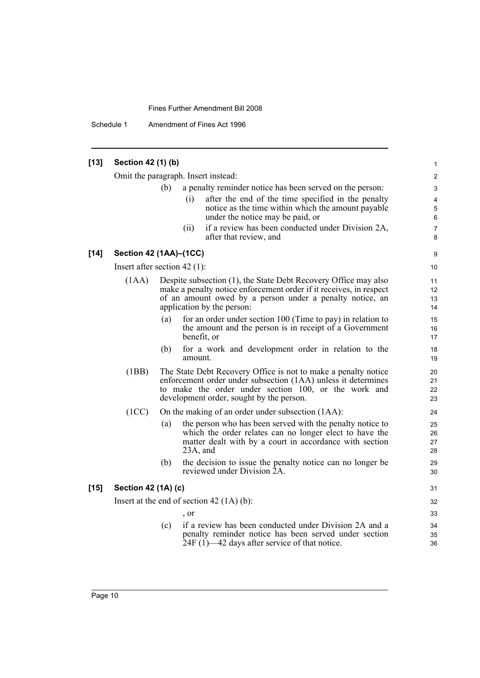Schedule 1 Amendment of Fines Act 1996

### **[13] Section 42 (1) (b)** Omit the paragraph. Insert instead: (b) a penalty reminder notice has been served on the person: (i) after the end of the time specified in the penalty notice as the time within which the amount payable under the notice may be paid, or (ii) if a review has been conducted under Division 2A, after that review, and **[14] Section 42 (1AA)–(1CC)** Insert after section 42 (1): (1AA) Despite subsection (1), the State Debt Recovery Office may also make a penalty notice enforcement order if it receives, in respect of an amount owed by a person under a penalty notice, an application by the person: (a) for an order under section 100 (Time to pay) in relation to the amount and the person is in receipt of a Government benefit, or (b) for a work and development order in relation to the amount. (1BB) The State Debt Recovery Office is not to make a penalty notice enforcement order under subsection (1AA) unless it determines to make the order under section 100, or the work and development order, sought by the person. (1CC) On the making of an order under subsection (1AA): (a) the person who has been served with the penalty notice to which the order relates can no longer elect to have the matter dealt with by a court in accordance with section 23A, and (b) the decision to issue the penalty notice can no longer be reviewed under Division 2A. **[15] Section 42 (1A) (c)** Insert at the end of section 42 (1A) (b): , or (c) if a review has been conducted under Division 2A and a penalty reminder notice has been served under section  $24F (1)$ —42 days after service of that notice. 1 2 3 4 5 6 7 8 **9** 10 11 12 13 14 15 16 17 18 19 20 21 22 23  $24$ 25 26 27 28 29 30 31 32 33 34 35 36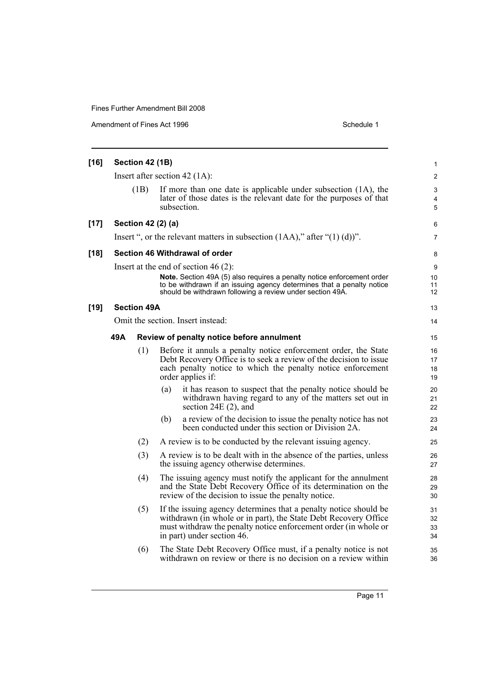Amendment of Fines Act 1996 Schedule 1

| $[16]$ |      | Section 42 (1B)    |                                                                                                                                                                                                                                      | $\mathbf{1}$          |
|--------|------|--------------------|--------------------------------------------------------------------------------------------------------------------------------------------------------------------------------------------------------------------------------------|-----------------------|
|        |      |                    | Insert after section 42 $(1A)$ :                                                                                                                                                                                                     | $\overline{2}$        |
|        |      | (1B)               | If more than one date is applicable under subsection (1A), the<br>later of those dates is the relevant date for the purposes of that<br>subsection.                                                                                  | 3<br>4<br>$\mathbf 5$ |
| $[17]$ |      |                    | Section 42 (2) (a)                                                                                                                                                                                                                   | 6                     |
|        |      |                    | Insert ", or the relevant matters in subsection $(1AA)$ ," after " $(1)(d)$ ".                                                                                                                                                       | $\overline{7}$        |
| $[18]$ |      |                    | Section 46 Withdrawal of order                                                                                                                                                                                                       | 8                     |
|        |      |                    | Insert at the end of section 46 $(2)$ :                                                                                                                                                                                              | 9                     |
|        |      |                    | Note. Section 49A (5) also requires a penalty notice enforcement order<br>to be withdrawn if an issuing agency determines that a penalty notice<br>should be withdrawn following a review under section 49A.                         | 10<br>11<br>12        |
| [19]   |      | <b>Section 49A</b> |                                                                                                                                                                                                                                      | 13                    |
|        |      |                    | Omit the section. Insert instead:                                                                                                                                                                                                    | 14                    |
|        | 49 A |                    | Review of penalty notice before annulment                                                                                                                                                                                            | 15                    |
|        |      | (1)                | Before it annuls a penalty notice enforcement order, the State<br>Debt Recovery Office is to seek a review of the decision to issue<br>each penalty notice to which the penalty notice enforcement<br>order applies if:              | 16<br>17<br>18<br>19  |
|        |      |                    | it has reason to suspect that the penalty notice should be<br>(a)<br>withdrawn having regard to any of the matters set out in<br>section $24E(2)$ , and                                                                              | 20<br>21<br>22        |
|        |      |                    | a review of the decision to issue the penalty notice has not<br>(b)<br>been conducted under this section or Division 2A.                                                                                                             | 23<br>24              |
|        |      | (2)                | A review is to be conducted by the relevant issuing agency.                                                                                                                                                                          | 25                    |
|        |      | (3)                | A review is to be dealt with in the absence of the parties, unless<br>the issuing agency otherwise determines.                                                                                                                       | 26<br>27              |
|        |      | (4)                | The issuing agency must notify the applicant for the annulment<br>and the State Debt Recovery Office of its determination on the<br>review of the decision to issue the penalty notice.                                              | 28<br>29<br>30        |
|        |      | (5)                | If the issuing agency determines that a penalty notice should be<br>withdrawn (in whole or in part), the State Debt Recovery Office<br>must withdraw the penalty notice enforcement order (in whole or<br>in part) under section 46. | 31<br>32<br>33<br>34  |
|        |      | (6)                | The State Debt Recovery Office must, if a penalty notice is not<br>withdrawn on review or there is no decision on a review within                                                                                                    | 35<br>36              |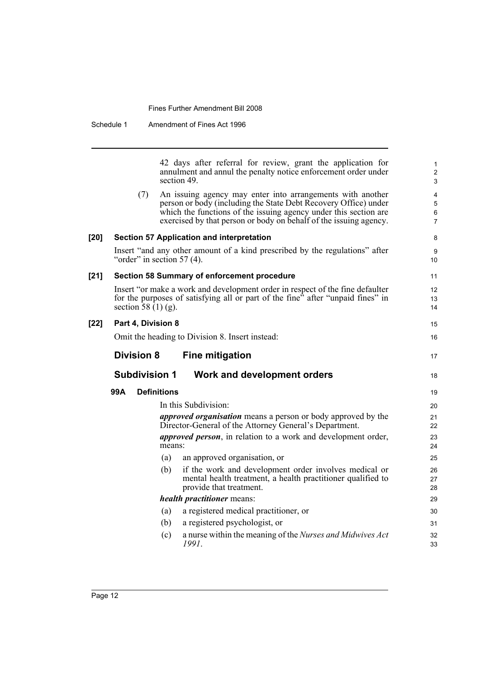Schedule 1 Amendment of Fines Act 1996

|      |                              |                    | 42 days after referral for review, grant the application for<br>annulment and annul the penalty notice enforcement order under<br>section 49.                                                                                                                          | $\mathbf{1}$<br>$\overline{c}$<br>3 |
|------|------------------------------|--------------------|------------------------------------------------------------------------------------------------------------------------------------------------------------------------------------------------------------------------------------------------------------------------|-------------------------------------|
|      | (7)                          |                    | An issuing agency may enter into arrangements with another<br>person or body (including the State Debt Recovery Office) under<br>which the functions of the issuing agency under this section are<br>exercised by that person or body on behalf of the issuing agency. | 4<br>5<br>6<br>$\overline{7}$       |
| [20] |                              |                    | Section 57 Application and interpretation                                                                                                                                                                                                                              | 8                                   |
|      | "order" in section $57(4)$ . |                    | Insert "and any other amount of a kind prescribed by the regulations" after                                                                                                                                                                                            | 9<br>10                             |
| [21] |                              |                    | Section 58 Summary of enforcement procedure                                                                                                                                                                                                                            | 11                                  |
|      | section 58 $(1)$ (g).        |                    | Insert "or make a work and development order in respect of the fine defaulter<br>for the purposes of satisfying all or part of the fine <sup>3</sup> after "unpaid fines" in                                                                                           | 12<br>13<br>14                      |
| [22] | Part 4, Division 8           |                    |                                                                                                                                                                                                                                                                        | 15                                  |
|      |                              |                    | Omit the heading to Division 8. Insert instead:                                                                                                                                                                                                                        | 16                                  |
|      | <b>Division 8</b>            |                    | <b>Fine mitigation</b>                                                                                                                                                                                                                                                 | 17                                  |
|      | <b>Subdivision 1</b>         |                    | Work and development orders                                                                                                                                                                                                                                            | 18                                  |
|      |                              |                    |                                                                                                                                                                                                                                                                        |                                     |
|      | 99A                          | <b>Definitions</b> |                                                                                                                                                                                                                                                                        | 19                                  |
|      |                              |                    | In this Subdivision:                                                                                                                                                                                                                                                   | 20                                  |
|      |                              |                    | <i>approved organisation</i> means a person or body approved by the<br>Director-General of the Attorney General's Department.                                                                                                                                          | 21<br>22                            |
|      |                              | means:             | <i>approved person</i> , in relation to a work and development order,                                                                                                                                                                                                  | 23<br>24                            |
|      |                              | (a)                | an approved organisation, or                                                                                                                                                                                                                                           | 25                                  |
|      |                              | (b)                | if the work and development order involves medical or<br>mental health treatment, a health practitioner qualified to<br>provide that treatment.                                                                                                                        | 26<br>27<br>28                      |
|      |                              |                    | health practitioner means:                                                                                                                                                                                                                                             | 29                                  |
|      |                              | (a)                | a registered medical practitioner, or                                                                                                                                                                                                                                  | 30                                  |
|      |                              | (b)                | a registered psychologist, or                                                                                                                                                                                                                                          | 31                                  |
|      |                              | (c)                | a nurse within the meaning of the Nurses and Midwives Act<br>1991.                                                                                                                                                                                                     | 32<br>33                            |

**[22]**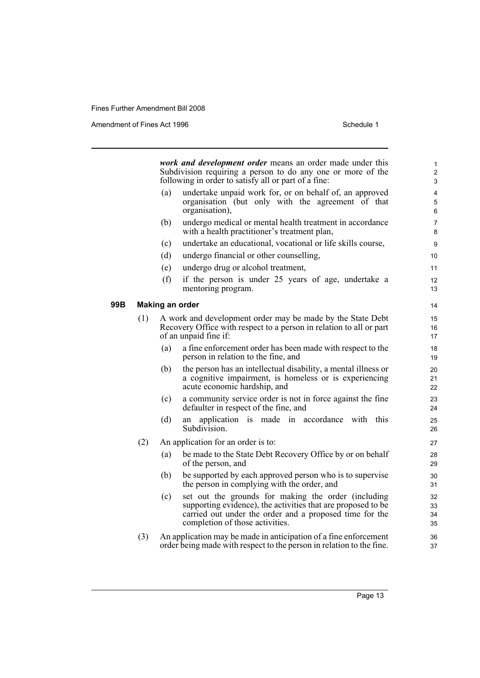Amendment of Fines Act 1996 Schedule 1

*work and development order* means an order made under this Subdivision requiring a person to do any one or more of the following in order to satisfy all or part of a fine: (a) undertake unpaid work for, or on behalf of, an approved organisation (but only with the agreement of that organisation), (b) undergo medical or mental health treatment in accordance with a health practitioner's treatment plan, (c) undertake an educational, vocational or life skills course, (d) undergo financial or other counselling, (e) undergo drug or alcohol treatment, (f) if the person is under 25 years of age, undertake a mentoring program. **99B Making an order** (1) A work and development order may be made by the State Debt Recovery Office with respect to a person in relation to all or part of an unpaid fine if: (a) a fine enforcement order has been made with respect to the person in relation to the fine, and (b) the person has an intellectual disability, a mental illness or a cognitive impairment, is homeless or is experiencing acute economic hardship, and (c) a community service order is not in force against the fine defaulter in respect of the fine, and (d) an application is made in accordance with this Subdivision. (2) An application for an order is to: (a) be made to the State Debt Recovery Office by or on behalf of the person, and (b) be supported by each approved person who is to supervise the person in complying with the order, and (c) set out the grounds for making the order (including supporting evidence), the activities that are proposed to be carried out under the order and a proposed time for the completion of those activities. (3) An application may be made in anticipation of a fine enforcement order being made with respect to the person in relation to the fine. 1 2 3 4 5 6 7 8 9 10 11 12 13 14 15 16 17 18 19  $20$  $21$ 22  $23$ 24 25 26 27 28 29  $30$ 31 32 33 34 35 36 37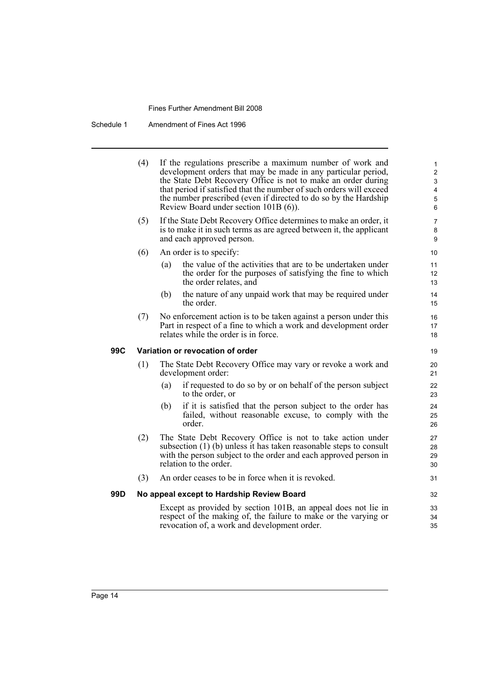Schedule 1 Amendment of Fines Act 1996

i

| (4) | If the regulations prescribe a maximum number of work and<br>development orders that may be made in any particular period,<br>the State Debt Recovery Office is not to make an order during<br>that period if satisfied that the number of such orders will exceed<br>the number prescribed (even if directed to do so by the Hardship<br>Review Board under section 101B (6)). | $\mathbf{1}$<br>$\overline{c}$<br>3<br>$\overline{\mathbf{4}}$<br>$\mathbf 5$<br>6 |
|-----|---------------------------------------------------------------------------------------------------------------------------------------------------------------------------------------------------------------------------------------------------------------------------------------------------------------------------------------------------------------------------------|------------------------------------------------------------------------------------|
| (5) | If the State Debt Recovery Office determines to make an order, it<br>is to make it in such terms as are agreed between it, the applicant<br>and each approved person.                                                                                                                                                                                                           | 7<br>8<br>9                                                                        |
| (6) | An order is to specify:                                                                                                                                                                                                                                                                                                                                                         | 10                                                                                 |
|     | the value of the activities that are to be undertaken under<br>(a)<br>the order for the purposes of satisfying the fine to which<br>the order relates, and                                                                                                                                                                                                                      | 11<br>12<br>13                                                                     |
|     | the nature of any unpaid work that may be required under<br>(b)<br>the order.                                                                                                                                                                                                                                                                                                   | 14<br>15                                                                           |
| (7) | No enforcement action is to be taken against a person under this<br>Part in respect of a fine to which a work and development order<br>relates while the order is in force.                                                                                                                                                                                                     | 16<br>17<br>18                                                                     |
|     |                                                                                                                                                                                                                                                                                                                                                                                 | 19                                                                                 |
| (1) | The State Debt Recovery Office may vary or revoke a work and<br>development order:                                                                                                                                                                                                                                                                                              | 20<br>21                                                                           |
|     | if requested to do so by or on behalf of the person subject<br>(a)<br>to the order, or                                                                                                                                                                                                                                                                                          | 22<br>23                                                                           |
|     | if it is satisfied that the person subject to the order has<br>(b)<br>failed, without reasonable excuse, to comply with the<br>order.                                                                                                                                                                                                                                           | 24<br>25<br>26                                                                     |
| (2) | The State Debt Recovery Office is not to take action under<br>subsection $(1)$ (b) unless it has taken reasonable steps to consult<br>with the person subject to the order and each approved person in<br>relation to the order.                                                                                                                                                | 27<br>28<br>29<br>30                                                               |
| (3) | An order ceases to be in force when it is revoked.                                                                                                                                                                                                                                                                                                                              | 31                                                                                 |
|     |                                                                                                                                                                                                                                                                                                                                                                                 | 32                                                                                 |
|     | Except as provided by section 101B, an appeal does not lie in<br>respect of the making of, the failure to make or the varying or<br>revocation of, a work and development order.                                                                                                                                                                                                | 33<br>34<br>35                                                                     |
|     |                                                                                                                                                                                                                                                                                                                                                                                 | Variation or revocation of order<br>No appeal except to Hardship Review Board      |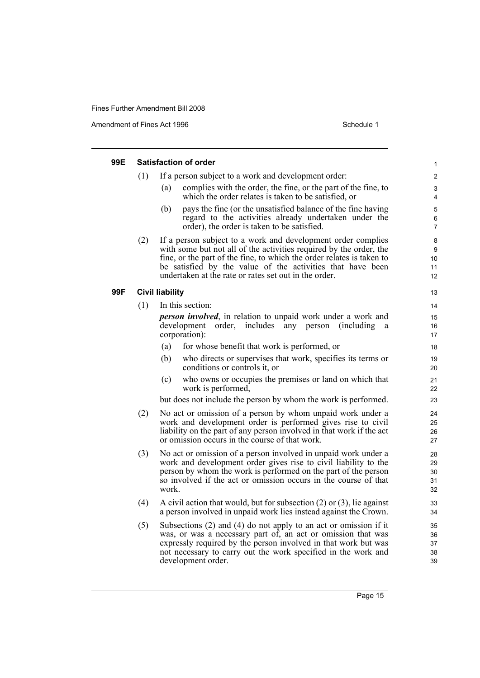Amendment of Fines Act 1996 Schedule 1

| 99E |     | <b>Satisfaction of order</b>                                                                                                                                                                                                                                                                                                       | $\mathbf{1}$               |
|-----|-----|------------------------------------------------------------------------------------------------------------------------------------------------------------------------------------------------------------------------------------------------------------------------------------------------------------------------------------|----------------------------|
|     | (1) | If a person subject to a work and development order:                                                                                                                                                                                                                                                                               | $\overline{2}$             |
|     |     | complies with the order, the fine, or the part of the fine, to<br>(a)<br>which the order relates is taken to be satisfied, or                                                                                                                                                                                                      | 3<br>$\overline{4}$        |
|     |     | pays the fine (or the unsatisfied balance of the fine having<br>(b)<br>regard to the activities already undertaken under the<br>order), the order is taken to be satisfied.                                                                                                                                                        | 5<br>$\,6\,$<br>7          |
|     | (2) | If a person subject to a work and development order complies<br>with some but not all of the activities required by the order, the<br>fine, or the part of the fine, to which the order relates is taken to<br>be satisfied by the value of the activities that have been<br>undertaken at the rate or rates set out in the order. | 8<br>9<br>10<br>11<br>12   |
| 99F |     | <b>Civil liability</b>                                                                                                                                                                                                                                                                                                             | 13                         |
|     | (1) | In this section:                                                                                                                                                                                                                                                                                                                   | 14                         |
|     |     | <i>person involved</i> , in relation to unpaid work under a work and<br>development order, includes<br>any person<br>(including)<br>a<br>corporation):                                                                                                                                                                             | 15<br>16<br>17             |
|     |     | for whose benefit that work is performed, or<br>(a)                                                                                                                                                                                                                                                                                | 18                         |
|     |     | (b)<br>who directs or supervises that work, specifies its terms or<br>conditions or controls it, or                                                                                                                                                                                                                                | 19<br>20                   |
|     |     | who owns or occupies the premises or land on which that<br>(c)<br>work is performed,                                                                                                                                                                                                                                               | 21<br>22                   |
|     |     | but does not include the person by whom the work is performed.                                                                                                                                                                                                                                                                     | 23                         |
|     | (2) | No act or omission of a person by whom unpaid work under a<br>work and development order is performed gives rise to civil<br>liability on the part of any person involved in that work if the act<br>or omission occurs in the course of that work.                                                                                | 24<br>25<br>26<br>27       |
|     | (3) | No act or omission of a person involved in unpaid work under a<br>work and development order gives rise to civil liability to the<br>person by whom the work is performed on the part of the person<br>so involved if the act or omission occurs in the course of that<br>work.                                                    | 28<br>29<br>30<br>31<br>32 |
|     | (4) | A civil action that would, but for subsection $(2)$ or $(3)$ , lie against<br>a person involved in unpaid work lies instead against the Crown.                                                                                                                                                                                     | 33<br>34                   |
|     | (5) | Subsections $(2)$ and $(4)$ do not apply to an act or omission if it<br>was, or was a necessary part of, an act or omission that was<br>expressly required by the person involved in that work but was<br>not necessary to carry out the work specified in the work and<br>development order.                                      | 35<br>36<br>37<br>38<br>39 |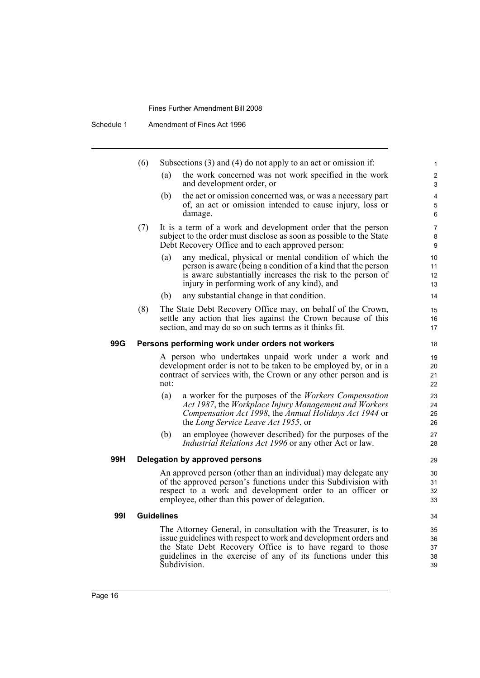Schedule 1 Amendment of Fines Act 1996

|     | (6)                                                             |                                                                | Subsections $(3)$ and $(4)$ do not apply to an act or omission if:                 |              |  |  |  |  |
|-----|-----------------------------------------------------------------|----------------------------------------------------------------|------------------------------------------------------------------------------------|--------------|--|--|--|--|
|     |                                                                 |                                                                |                                                                                    | $\mathbf{1}$ |  |  |  |  |
|     |                                                                 | (a)                                                            | the work concerned was not work specified in the work<br>and development order, or | 2<br>3       |  |  |  |  |
|     |                                                                 | (b)                                                            | the act or omission concerned was, or was a necessary part                         | 4            |  |  |  |  |
|     |                                                                 |                                                                | of, an act or omission intended to cause injury, loss or                           | 5            |  |  |  |  |
|     |                                                                 |                                                                | damage.                                                                            | 6            |  |  |  |  |
|     | (7)                                                             |                                                                | It is a term of a work and development order that the person                       | 7            |  |  |  |  |
|     |                                                                 |                                                                | subject to the order must disclose as soon as possible to the State                | 8            |  |  |  |  |
|     |                                                                 |                                                                | Debt Recovery Office and to each approved person:                                  | 9            |  |  |  |  |
|     |                                                                 | (a)                                                            | any medical, physical or mental condition of which the                             | 10           |  |  |  |  |
|     |                                                                 |                                                                | person is aware (being a condition of a kind that the person                       | 11           |  |  |  |  |
|     |                                                                 |                                                                | is aware substantially increases the risk to the person of                         | 12           |  |  |  |  |
|     |                                                                 |                                                                | injury in performing work of any kind), and                                        | 13           |  |  |  |  |
|     |                                                                 | (b)                                                            | any substantial change in that condition.                                          | 14           |  |  |  |  |
|     | (8)                                                             |                                                                | The State Debt Recovery Office may, on behalf of the Crown,                        | 15           |  |  |  |  |
|     |                                                                 |                                                                | settle any action that lies against the Crown because of this                      | 16           |  |  |  |  |
|     |                                                                 |                                                                | section, and may do so on such terms as it thinks fit.                             | 17           |  |  |  |  |
| 99G |                                                                 |                                                                | Persons performing work under orders not workers                                   | 18           |  |  |  |  |
|     | A person who undertakes unpaid work under a work and            |                                                                |                                                                                    |              |  |  |  |  |
|     | development order is not to be taken to be employed by, or in a |                                                                |                                                                                    |              |  |  |  |  |
|     |                                                                 |                                                                | contract of services with, the Crown or any other person and is                    | 21           |  |  |  |  |
|     |                                                                 | not:                                                           |                                                                                    | 22           |  |  |  |  |
|     |                                                                 | (a)                                                            | a worker for the purposes of the Workers Compensation                              | 23           |  |  |  |  |
|     |                                                                 |                                                                | Act 1987, the Workplace Injury Management and Workers                              | 24           |  |  |  |  |
|     |                                                                 |                                                                | Compensation Act 1998, the Annual Holidays Act 1944 or                             | 25           |  |  |  |  |
|     |                                                                 |                                                                | the Long Service Leave Act 1955, or                                                | 26           |  |  |  |  |
|     |                                                                 | (b)                                                            | an employee (however described) for the purposes of the                            | 27           |  |  |  |  |
|     |                                                                 |                                                                | <i>Industrial Relations Act 1996</i> or any other Act or law.                      | 28           |  |  |  |  |
| 99H |                                                                 |                                                                | Delegation by approved persons                                                     | 29           |  |  |  |  |
|     |                                                                 | An approved person (other than an individual) may delegate any |                                                                                    |              |  |  |  |  |
|     |                                                                 |                                                                | of the approved person's functions under this Subdivision with                     | 31           |  |  |  |  |
|     |                                                                 |                                                                | respect to a work and development order to an officer or                           | 32           |  |  |  |  |
|     |                                                                 |                                                                | employee, other than this power of delegation.                                     | 33           |  |  |  |  |
| 991 |                                                                 | <b>Guidelines</b>                                              |                                                                                    | 34           |  |  |  |  |
|     |                                                                 |                                                                | The Attorney General, in consultation with the Treasurer, is to                    | 35           |  |  |  |  |
|     |                                                                 |                                                                | issue guidelines with respect to work and development orders and                   | 36           |  |  |  |  |
|     |                                                                 |                                                                | the State Debt Recovery Office is to have regard to those                          | 37           |  |  |  |  |
|     |                                                                 |                                                                | guidelines in the exercise of any of its functions under this                      | 38           |  |  |  |  |
|     |                                                                 |                                                                | Subdivision.                                                                       | 39           |  |  |  |  |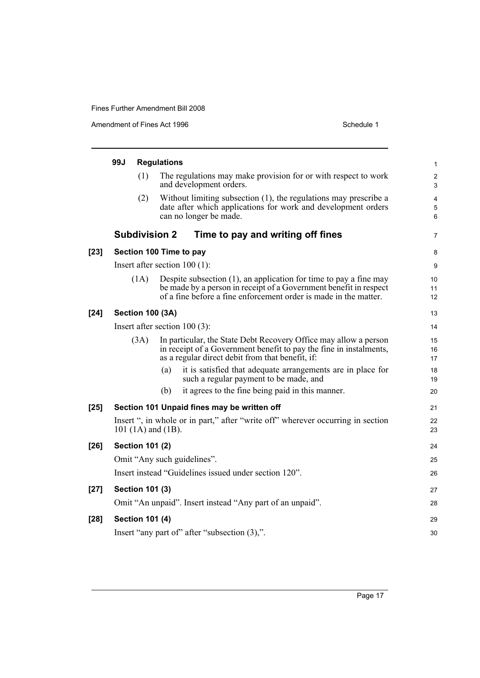Amendment of Fines Act 1996 Schedule 1

|        | 99J                                                                                                   |                        | <b>Regulations</b>                                                                                                                                                                                            | 1                            |  |  |  |
|--------|-------------------------------------------------------------------------------------------------------|------------------------|---------------------------------------------------------------------------------------------------------------------------------------------------------------------------------------------------------------|------------------------------|--|--|--|
|        |                                                                                                       | (1)                    | The regulations may make provision for or with respect to work<br>and development orders.                                                                                                                     | $\overline{\mathbf{c}}$<br>3 |  |  |  |
|        |                                                                                                       | (2)                    | Without limiting subsection (1), the regulations may prescribe a<br>date after which applications for work and development orders<br>can no longer be made.                                                   | 4<br>5<br>6                  |  |  |  |
|        |                                                                                                       |                        | <b>Subdivision 2</b><br>Time to pay and writing off fines                                                                                                                                                     | 7                            |  |  |  |
| $[23]$ |                                                                                                       |                        | Section 100 Time to pay                                                                                                                                                                                       | 8                            |  |  |  |
|        |                                                                                                       |                        | Insert after section $100(1)$ :                                                                                                                                                                               | 9                            |  |  |  |
|        |                                                                                                       | (1A)                   | Despite subsection $(1)$ , an application for time to pay a fine may<br>be made by a person in receipt of a Government benefit in respect<br>of a fine before a fine enforcement order is made in the matter. | 10<br>11<br>12               |  |  |  |
| $[24]$ |                                                                                                       |                        | <b>Section 100 (3A)</b>                                                                                                                                                                                       | 13                           |  |  |  |
|        | Insert after section $100(3)$ :                                                                       |                        |                                                                                                                                                                                                               |                              |  |  |  |
|        |                                                                                                       | (3A)                   | In particular, the State Debt Recovery Office may allow a person<br>in receipt of a Government benefit to pay the fine in instalments,<br>as a regular direct debit from that benefit, if:                    | 15<br>16<br>17               |  |  |  |
|        |                                                                                                       |                        | (a)<br>it is satisfied that adequate arrangements are in place for<br>such a regular payment to be made, and                                                                                                  | 18<br>19                     |  |  |  |
|        |                                                                                                       |                        | it agrees to the fine being paid in this manner.<br>(b)                                                                                                                                                       | 20                           |  |  |  |
| $[25]$ |                                                                                                       |                        | Section 101 Unpaid fines may be written off                                                                                                                                                                   | 21                           |  |  |  |
|        | Insert ", in whole or in part," after "write off" wherever occurring in section<br>101 (1A) and (1B). |                        |                                                                                                                                                                                                               |                              |  |  |  |
| $[26]$ |                                                                                                       | <b>Section 101 (2)</b> |                                                                                                                                                                                                               | 24                           |  |  |  |
|        | Omit "Any such guidelines".                                                                           |                        |                                                                                                                                                                                                               |                              |  |  |  |
|        |                                                                                                       |                        | Insert instead "Guidelines issued under section 120".                                                                                                                                                         | 26                           |  |  |  |
| $[27]$ |                                                                                                       | <b>Section 101 (3)</b> |                                                                                                                                                                                                               | 27                           |  |  |  |
|        |                                                                                                       |                        | Omit "An unpaid". Insert instead "Any part of an unpaid".                                                                                                                                                     | 28                           |  |  |  |
| $[28]$ |                                                                                                       | <b>Section 101 (4)</b> |                                                                                                                                                                                                               | 29                           |  |  |  |
|        |                                                                                                       |                        | Insert "any part of" after "subsection (3),".                                                                                                                                                                 | 30                           |  |  |  |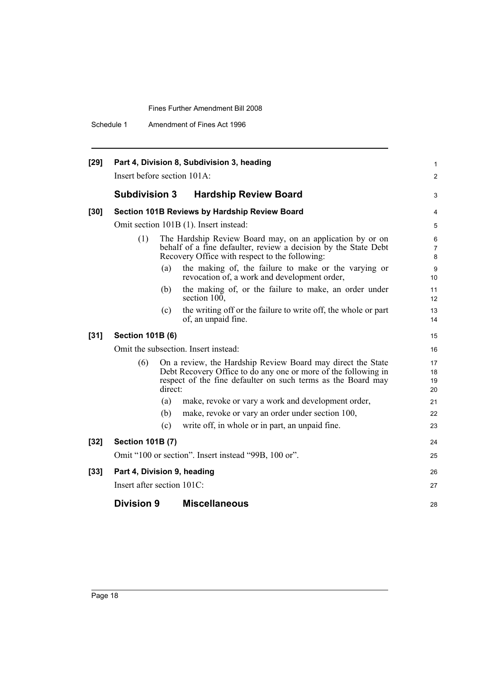Schedule 1 Amendment of Fines Act 1996

| $[29]$ |                                                                                                                                                                                                                 |                                                                                                                                                                                | Part 4, Division 8, Subdivision 3, heading                                                           | 1              |  |  |
|--------|-----------------------------------------------------------------------------------------------------------------------------------------------------------------------------------------------------------------|--------------------------------------------------------------------------------------------------------------------------------------------------------------------------------|------------------------------------------------------------------------------------------------------|----------------|--|--|
|        | Insert before section 101A:                                                                                                                                                                                     |                                                                                                                                                                                |                                                                                                      | $\overline{c}$ |  |  |
|        | <b>Subdivision 3</b>                                                                                                                                                                                            |                                                                                                                                                                                | <b>Hardship Review Board</b>                                                                         | 3              |  |  |
| $[30]$ |                                                                                                                                                                                                                 |                                                                                                                                                                                | Section 101B Reviews by Hardship Review Board                                                        | 4              |  |  |
|        |                                                                                                                                                                                                                 |                                                                                                                                                                                | Omit section 101B (1). Insert instead:                                                               | 5              |  |  |
|        | (1)                                                                                                                                                                                                             | The Hardship Review Board may, on an application by or on<br>behalf of a fine defaulter, review a decision by the State Debt<br>Recovery Office with respect to the following: |                                                                                                      |                |  |  |
|        |                                                                                                                                                                                                                 | (a)                                                                                                                                                                            | the making of, the failure to make or the varying or<br>revocation of, a work and development order, | 9<br>10        |  |  |
|        |                                                                                                                                                                                                                 | (b)                                                                                                                                                                            | the making of, or the failure to make, an order under<br>section 100,                                | 11<br>12       |  |  |
|        |                                                                                                                                                                                                                 | (c)                                                                                                                                                                            | the writing off or the failure to write off, the whole or part<br>of, an unpaid fine.                | 13<br>14       |  |  |
| $[31]$ | <b>Section 101B (6)</b>                                                                                                                                                                                         |                                                                                                                                                                                |                                                                                                      | 15             |  |  |
|        |                                                                                                                                                                                                                 |                                                                                                                                                                                | Omit the subsection. Insert instead:                                                                 | 16             |  |  |
|        | On a review, the Hardship Review Board may direct the State<br>(6)<br>Debt Recovery Office to do any one or more of the following in<br>respect of the fine defaulter on such terms as the Board may<br>direct: |                                                                                                                                                                                |                                                                                                      |                |  |  |
|        |                                                                                                                                                                                                                 | (a)                                                                                                                                                                            | make, revoke or vary a work and development order,                                                   | 21             |  |  |
|        |                                                                                                                                                                                                                 | (b)                                                                                                                                                                            | make, revoke or vary an order under section 100,                                                     | 22             |  |  |
|        |                                                                                                                                                                                                                 | (c)                                                                                                                                                                            | write off, in whole or in part, an unpaid fine.                                                      | 23             |  |  |
| $[32]$ | <b>Section 101B (7)</b>                                                                                                                                                                                         |                                                                                                                                                                                |                                                                                                      | 24             |  |  |
|        |                                                                                                                                                                                                                 |                                                                                                                                                                                | Omit "100 or section". Insert instead "99B, 100 or".                                                 | 25             |  |  |
| $[33]$ | Part 4, Division 9, heading<br>Insert after section 101C:                                                                                                                                                       |                                                                                                                                                                                |                                                                                                      |                |  |  |
|        | <b>Division 9</b>                                                                                                                                                                                               |                                                                                                                                                                                | <b>Miscellaneous</b>                                                                                 | 28             |  |  |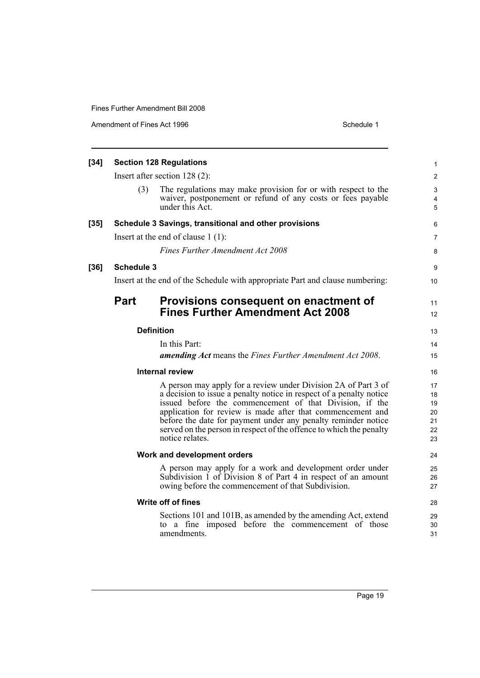Amendment of Fines Act 1996 Schedule 1

| $[34]$                                                                                                                             | <b>Section 128 Regulations</b><br>Insert after section $128(2)$ :                                                                                                                                                                                                                                                                                                                                                                                   |                                                                                                                                                                                  |                |  |  |
|------------------------------------------------------------------------------------------------------------------------------------|-----------------------------------------------------------------------------------------------------------------------------------------------------------------------------------------------------------------------------------------------------------------------------------------------------------------------------------------------------------------------------------------------------------------------------------------------------|----------------------------------------------------------------------------------------------------------------------------------------------------------------------------------|----------------|--|--|
|                                                                                                                                    |                                                                                                                                                                                                                                                                                                                                                                                                                                                     |                                                                                                                                                                                  |                |  |  |
|                                                                                                                                    | (3)                                                                                                                                                                                                                                                                                                                                                                                                                                                 | The regulations may make provision for or with respect to the<br>waiver, postponement or refund of any costs or fees payable<br>under this Act.                                  | 3<br>4<br>5    |  |  |
| $[35]$                                                                                                                             |                                                                                                                                                                                                                                                                                                                                                                                                                                                     | Schedule 3 Savings, transitional and other provisions                                                                                                                            | 6              |  |  |
|                                                                                                                                    |                                                                                                                                                                                                                                                                                                                                                                                                                                                     | Insert at the end of clause $1(1)$ :                                                                                                                                             | $\overline{7}$ |  |  |
|                                                                                                                                    |                                                                                                                                                                                                                                                                                                                                                                                                                                                     | <b>Fines Further Amendment Act 2008</b>                                                                                                                                          | 8              |  |  |
| $[36]$                                                                                                                             | <b>Schedule 3</b>                                                                                                                                                                                                                                                                                                                                                                                                                                   |                                                                                                                                                                                  | 9              |  |  |
|                                                                                                                                    |                                                                                                                                                                                                                                                                                                                                                                                                                                                     | Insert at the end of the Schedule with appropriate Part and clause numbering:                                                                                                    | 10             |  |  |
|                                                                                                                                    | <b>Part</b>                                                                                                                                                                                                                                                                                                                                                                                                                                         | Provisions consequent on enactment of<br><b>Fines Further Amendment Act 2008</b>                                                                                                 | 11<br>12       |  |  |
|                                                                                                                                    |                                                                                                                                                                                                                                                                                                                                                                                                                                                     | <b>Definition</b>                                                                                                                                                                | 13             |  |  |
|                                                                                                                                    |                                                                                                                                                                                                                                                                                                                                                                                                                                                     | In this Part:                                                                                                                                                                    | 14             |  |  |
|                                                                                                                                    |                                                                                                                                                                                                                                                                                                                                                                                                                                                     | amending Act means the Fines Further Amendment Act 2008.                                                                                                                         | 15             |  |  |
|                                                                                                                                    | <b>Internal review</b><br>A person may apply for a review under Division 2A of Part 3 of<br>a decision to issue a penalty notice in respect of a penalty notice<br>issued before the commencement of that Division, if the<br>application for review is made after that commencement and<br>before the date for payment under any penalty reminder notice<br>served on the person in respect of the offence to which the penalty<br>notice relates. |                                                                                                                                                                                  |                |  |  |
|                                                                                                                                    |                                                                                                                                                                                                                                                                                                                                                                                                                                                     |                                                                                                                                                                                  |                |  |  |
|                                                                                                                                    |                                                                                                                                                                                                                                                                                                                                                                                                                                                     | Work and development orders                                                                                                                                                      | 24             |  |  |
|                                                                                                                                    |                                                                                                                                                                                                                                                                                                                                                                                                                                                     | A person may apply for a work and development order under<br>Subdivision 1 of Division 8 of Part 4 in respect of an amount<br>owing before the commencement of that Subdivision. | 25<br>26<br>27 |  |  |
|                                                                                                                                    |                                                                                                                                                                                                                                                                                                                                                                                                                                                     | Write off of fines                                                                                                                                                               | 28             |  |  |
| Sections 101 and 101B, as amended by the amending Act, extend<br>to a fine imposed before the commencement of those<br>amendments. |                                                                                                                                                                                                                                                                                                                                                                                                                                                     |                                                                                                                                                                                  |                |  |  |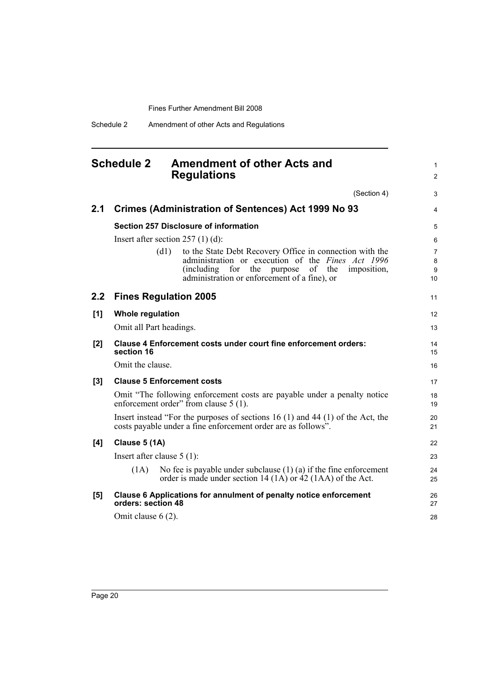Schedule 2 Amendment of other Acts and Regulations

# <span id="page-29-0"></span>**Schedule 2 Amendment of other Acts and Regulations**

|       |                                                                                                                   | (Section 4)                                                                                                                                                                                                                       | 3                 |  |  |  |
|-------|-------------------------------------------------------------------------------------------------------------------|-----------------------------------------------------------------------------------------------------------------------------------------------------------------------------------------------------------------------------------|-------------------|--|--|--|
| 2.1   |                                                                                                                   | <b>Crimes (Administration of Sentences) Act 1999 No 93</b>                                                                                                                                                                        | 4                 |  |  |  |
|       |                                                                                                                   | <b>Section 257 Disclosure of information</b>                                                                                                                                                                                      | 5                 |  |  |  |
|       |                                                                                                                   | Insert after section $257(1)(d)$ :                                                                                                                                                                                                | 6                 |  |  |  |
|       | (d1)                                                                                                              | to the State Debt Recovery Office in connection with the<br>administration or execution of the Fines Act 1996<br>(including)<br>for<br>the<br>of<br>purpose<br>the<br>imposition,<br>administration or enforcement of a fine), or | 7<br>8<br>9<br>10 |  |  |  |
| 2.2   | <b>Fines Regulation 2005</b>                                                                                      |                                                                                                                                                                                                                                   | 11                |  |  |  |
| [1]   | <b>Whole regulation</b>                                                                                           |                                                                                                                                                                                                                                   | 12                |  |  |  |
|       | Omit all Part headings.                                                                                           |                                                                                                                                                                                                                                   | 13                |  |  |  |
| [2]   | section 16                                                                                                        | Clause 4 Enforcement costs under court fine enforcement orders:                                                                                                                                                                   | 14<br>15          |  |  |  |
|       | Omit the clause.                                                                                                  |                                                                                                                                                                                                                                   | 16                |  |  |  |
| $[3]$ |                                                                                                                   | <b>Clause 5 Enforcement costs</b>                                                                                                                                                                                                 | 17                |  |  |  |
|       | Omit "The following enforcement costs are payable under a penalty notice<br>enforcement order" from clause 5 (1). |                                                                                                                                                                                                                                   |                   |  |  |  |
|       |                                                                                                                   | Insert instead "For the purposes of sections 16 (1) and 44 (1) of the Act, the<br>costs payable under a fine enforcement order are as follows".                                                                                   | 20<br>21          |  |  |  |
| [4]   | Clause 5 (1A)                                                                                                     |                                                                                                                                                                                                                                   | 22                |  |  |  |
|       | Insert after clause $5(1)$ :                                                                                      |                                                                                                                                                                                                                                   | 23                |  |  |  |
|       | (1A)                                                                                                              | No fee is payable under subclause $(1)$ $(a)$ if the fine enforcement<br>order is made under section 14 (1A) or 42 (1AA) of the Act.                                                                                              | 24<br>25          |  |  |  |
| [5]   | orders: section 48                                                                                                | Clause 6 Applications for annulment of penalty notice enforcement                                                                                                                                                                 | 26<br>27          |  |  |  |
|       | Omit clause $6(2)$ .                                                                                              |                                                                                                                                                                                                                                   | 28                |  |  |  |

1 2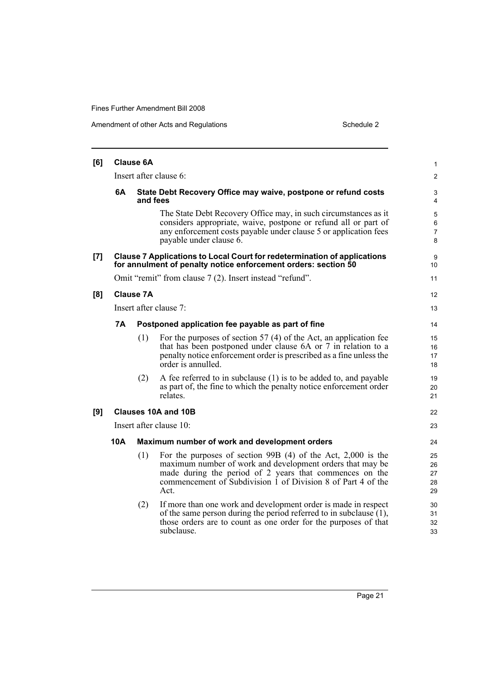| [6] |                                                                                  | <b>Clause 6A</b> |                                                                                                                                                                                                                                                                | $\mathbf{1}$                  |  |  |
|-----|----------------------------------------------------------------------------------|------------------|----------------------------------------------------------------------------------------------------------------------------------------------------------------------------------------------------------------------------------------------------------------|-------------------------------|--|--|
|     | Insert after clause 6:                                                           |                  |                                                                                                                                                                                                                                                                |                               |  |  |
|     | 6A<br>State Debt Recovery Office may waive, postpone or refund costs<br>and fees |                  |                                                                                                                                                                                                                                                                |                               |  |  |
|     |                                                                                  |                  | The State Debt Recovery Office may, in such circumstances as it<br>considers appropriate, waive, postpone or refund all or part of<br>any enforcement costs payable under clause 5 or application fees<br>payable under clause 6.                              | 5<br>6<br>$\overline{7}$<br>8 |  |  |
| [7] |                                                                                  |                  | <b>Clause 7 Applications to Local Court for redetermination of applications</b><br>for annulment of penalty notice enforcement orders: section 50                                                                                                              | 9<br>10                       |  |  |
|     |                                                                                  |                  | Omit "remit" from clause 7 (2). Insert instead "refund".                                                                                                                                                                                                       | 11                            |  |  |
| [8] |                                                                                  | Clause 7A        |                                                                                                                                                                                                                                                                | 12                            |  |  |
|     |                                                                                  |                  | Insert after clause 7:                                                                                                                                                                                                                                         | 13                            |  |  |
|     | 7Α                                                                               |                  | Postponed application fee payable as part of fine                                                                                                                                                                                                              | 14                            |  |  |
|     |                                                                                  | (1)              | For the purposes of section 57 $(4)$ of the Act, an application fee<br>that has been postponed under clause 6A or 7 in relation to a<br>penalty notice enforcement order is prescribed as a fine unless the<br>order is annulled.                              | 15<br>16<br>17<br>18          |  |  |
|     |                                                                                  | (2)              | A fee referred to in subclause (1) is to be added to, and payable<br>as part of, the fine to which the penalty notice enforcement order<br>relates.                                                                                                            | 19<br>20<br>21                |  |  |
| [9] |                                                                                  |                  | Clauses 10A and 10B                                                                                                                                                                                                                                            | 22                            |  |  |
|     |                                                                                  |                  | Insert after clause 10:                                                                                                                                                                                                                                        | 23                            |  |  |
|     | 10A<br>Maximum number of work and development orders                             |                  |                                                                                                                                                                                                                                                                |                               |  |  |
|     |                                                                                  | (1)              | For the purposes of section 99B $(4)$ of the Act, 2,000 is the<br>maximum number of work and development orders that may be<br>made during the period of 2 years that commences on the<br>commencement of Subdivision 1 of Division 8 of Part 4 of the<br>Act. | 25<br>26<br>27<br>28<br>29    |  |  |
|     |                                                                                  | (2)              | If more than one work and development order is made in respect<br>of the same person during the period referred to in subclause $(1)$ ,<br>those orders are to count as one order for the purposes of that<br>subclause.                                       | 30<br>31<br>32<br>33          |  |  |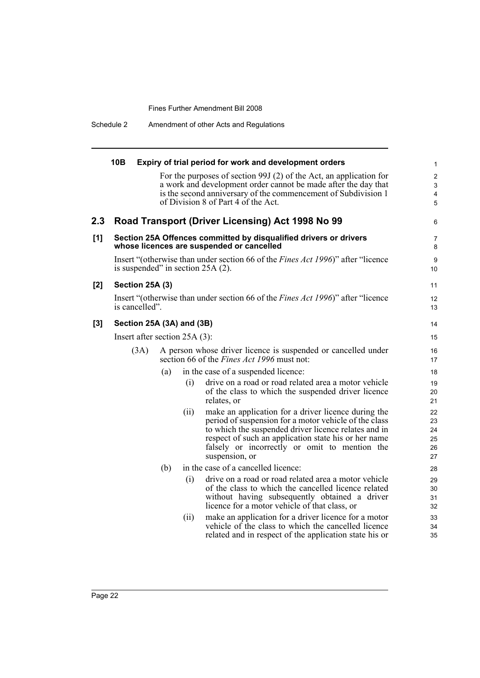Schedule 2 Amendment of other Acts and Regulations

|       | 10B |                 |                                 |      | Expiry of trial period for work and development orders                                                                           | $\mathbf{1}$        |
|-------|-----|-----------------|---------------------------------|------|----------------------------------------------------------------------------------------------------------------------------------|---------------------|
|       |     |                 |                                 |      | For the purposes of section 99J (2) of the Act, an application for                                                               | $\boldsymbol{2}$    |
|       |     |                 |                                 |      | a work and development order cannot be made after the day that<br>is the second anniversary of the commencement of Subdivision 1 | 3                   |
|       |     |                 |                                 |      | of Division 8 of Part 4 of the Act.                                                                                              | 4<br>$\overline{5}$ |
|       |     |                 |                                 |      |                                                                                                                                  |                     |
| 2.3   |     |                 |                                 |      | Road Transport (Driver Licensing) Act 1998 No 99                                                                                 | 6                   |
| [1]   |     |                 |                                 |      | Section 25A Offences committed by disqualified drivers or drivers<br>whose licences are suspended or cancelled                   | 7<br>8              |
|       |     |                 |                                 |      | Insert "(otherwise than under section 66 of the <i>Fines Act 1996</i> )" after "licence<br>is suspended" in section $25A(2)$ .   | 9<br>10             |
| [2]   |     | Section 25A (3) |                                 |      |                                                                                                                                  | 11                  |
|       |     | is cancelled".  |                                 |      | Insert "(otherwise than under section 66 of the <i>Fines Act 1996</i> )" after "licence                                          | 12<br>13            |
| $[3]$ |     |                 | Section 25A (3A) and (3B)       |      |                                                                                                                                  | 14                  |
|       |     |                 | Insert after section $25A(3)$ : |      |                                                                                                                                  | 15                  |
|       |     | (3A)            |                                 |      | A person whose driver licence is suspended or cancelled under<br>section 66 of the <i>Fines Act 1996</i> must not:               | 16<br>17            |
|       |     |                 | (a)                             |      | in the case of a suspended licence:                                                                                              | 18                  |
|       |     |                 |                                 | (i)  | drive on a road or road related area a motor vehicle<br>of the class to which the suspended driver licence<br>relates, or        | 19<br>20<br>21      |
|       |     |                 |                                 | (ii) | make an application for a driver licence during the                                                                              | 22                  |
|       |     |                 |                                 |      | period of suspension for a motor vehicle of the class                                                                            | 23                  |
|       |     |                 |                                 |      | to which the suspended driver licence relates and in<br>respect of such an application state his or her name                     | 24<br>25            |
|       |     |                 |                                 |      | falsely or incorrectly or omit to mention the                                                                                    | 26                  |
|       |     |                 |                                 |      | suspension, or                                                                                                                   | 27                  |
|       |     |                 | (b)                             |      | in the case of a cancelled licence:                                                                                              | 28                  |
|       |     |                 |                                 | (i)  | drive on a road or road related area a motor vehicle                                                                             | 29                  |
|       |     |                 |                                 |      | of the class to which the cancelled licence related                                                                              | 30                  |
|       |     |                 |                                 |      | without having subsequently obtained a driver<br>licence for a motor vehicle of that class, or                                   | 31<br>32            |
|       |     |                 |                                 | (ii) | make an application for a driver licence for a motor                                                                             | 33                  |
|       |     |                 |                                 |      | vehicle of the class to which the cancelled licence                                                                              | 34                  |
|       |     |                 |                                 |      | related and in respect of the application state his or                                                                           | 35                  |
|       |     |                 |                                 |      |                                                                                                                                  |                     |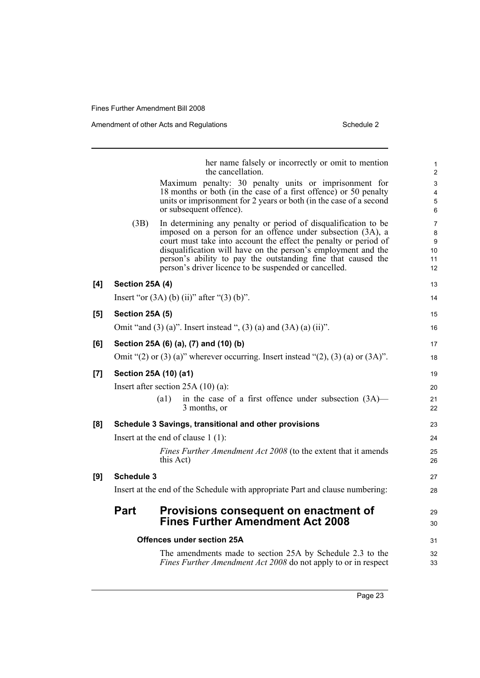|     |                        | her name falsely or incorrectly or omit to mention<br>the cancellation.                                                                                                                                                                                                                                                                                                                     | 1<br>$\overline{2}$                        |
|-----|------------------------|---------------------------------------------------------------------------------------------------------------------------------------------------------------------------------------------------------------------------------------------------------------------------------------------------------------------------------------------------------------------------------------------|--------------------------------------------|
|     |                        | Maximum penalty: 30 penalty units or imprisonment for<br>18 months or both (in the case of a first offence) or 50 penalty<br>units or imprisonment for 2 years or both (in the case of a second<br>or subsequent offence).                                                                                                                                                                  | $\mathsf 3$<br>$\overline{4}$<br>5<br>6    |
|     | (3B)                   | In determining any penalty or period of disqualification to be<br>imposed on a person for an offence under subsection (3A), a<br>court must take into account the effect the penalty or period of<br>disqualification will have on the person's employment and the<br>person's ability to pay the outstanding fine that caused the<br>person's driver licence to be suspended or cancelled. | $\overline{7}$<br>8<br>9<br>10<br>11<br>12 |
| [4] | Section 25A (4)        |                                                                                                                                                                                                                                                                                                                                                                                             | 13                                         |
|     |                        | Insert "or $(3A)$ (b) (ii)" after " $(3)$ (b)".                                                                                                                                                                                                                                                                                                                                             | 14                                         |
| [5] | <b>Section 25A (5)</b> |                                                                                                                                                                                                                                                                                                                                                                                             | 15                                         |
|     |                        | Omit "and $(3)$ (a)". Insert instead ", $(3)$ (a) and $(3A)$ (a) (ii)".                                                                                                                                                                                                                                                                                                                     | 16                                         |
| [6] |                        | Section 25A (6) (a), (7) and (10) (b)                                                                                                                                                                                                                                                                                                                                                       | 17                                         |
|     |                        | Omit " $(2)$ or $(3)$ (a)" wherever occurring. Insert instead " $(2)$ , $(3)$ (a) or $(3A)$ ".                                                                                                                                                                                                                                                                                              | 18                                         |
| [7] |                        | Section 25A (10) (a1)                                                                                                                                                                                                                                                                                                                                                                       | 19                                         |
|     |                        | Insert after section $25A(10)(a)$ :                                                                                                                                                                                                                                                                                                                                                         | 20                                         |
|     |                        | in the case of a first offence under subsection $(3A)$ —<br>(a1)<br>3 months, or                                                                                                                                                                                                                                                                                                            | 21<br>22                                   |
| [8] |                        | Schedule 3 Savings, transitional and other provisions                                                                                                                                                                                                                                                                                                                                       | 23                                         |
|     |                        | Insert at the end of clause $1(1)$ :                                                                                                                                                                                                                                                                                                                                                        | 24                                         |
|     |                        | Fines Further Amendment Act 2008 (to the extent that it amends<br>this Act)                                                                                                                                                                                                                                                                                                                 | 25<br>26                                   |
| [9] | <b>Schedule 3</b>      |                                                                                                                                                                                                                                                                                                                                                                                             | 27                                         |
|     |                        | Insert at the end of the Schedule with appropriate Part and clause numbering:                                                                                                                                                                                                                                                                                                               | 28                                         |
|     | <b>Part</b>            | Provisions consequent on enactment of<br><b>Fines Further Amendment Act 2008</b>                                                                                                                                                                                                                                                                                                            | 29<br>30                                   |
|     |                        | Offences under section 25A                                                                                                                                                                                                                                                                                                                                                                  | 31                                         |
|     |                        | The amendments made to section 25A by Schedule 2.3 to the<br>Fines Further Amendment Act 2008 do not apply to or in respect                                                                                                                                                                                                                                                                 | 32<br>33                                   |

Page 23